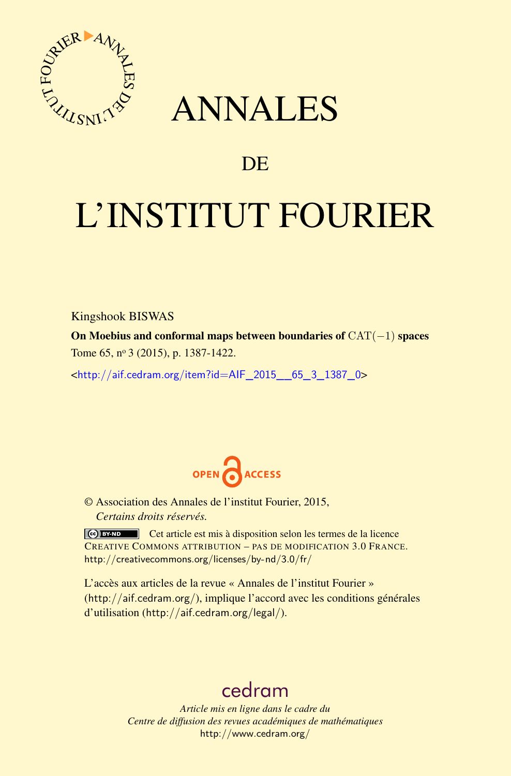

## ANNALES

### **DE**

# L'INSTITUT FOURIER

Kingshook BISWAS

On Moebius and conformal maps between boundaries of CAT(−1) spaces Tome 65, nº 3 (2015), p. 1387-1422.

<[http://aif.cedram.org/item?id=AIF\\_2015\\_\\_65\\_3\\_1387\\_0](http://aif.cedram.org/item?id=AIF_2015__65_3_1387_0)>



© Association des Annales de l'institut Fourier, 2015, *Certains droits réservés.*

Cet article est mis à disposition selon les termes de la licence CREATIVE COMMONS ATTRIBUTION – PAS DE MODIFICATION 3.0 FRANCE. <http://creativecommons.org/licenses/by-nd/3.0/fr/>

L'accès aux articles de la revue « Annales de l'institut Fourier » (<http://aif.cedram.org/>), implique l'accord avec les conditions générales d'utilisation (<http://aif.cedram.org/legal/>).

## [cedram](http://www.cedram.org/)

*Article mis en ligne dans le cadre du Centre de diffusion des revues académiques de mathématiques* <http://www.cedram.org/>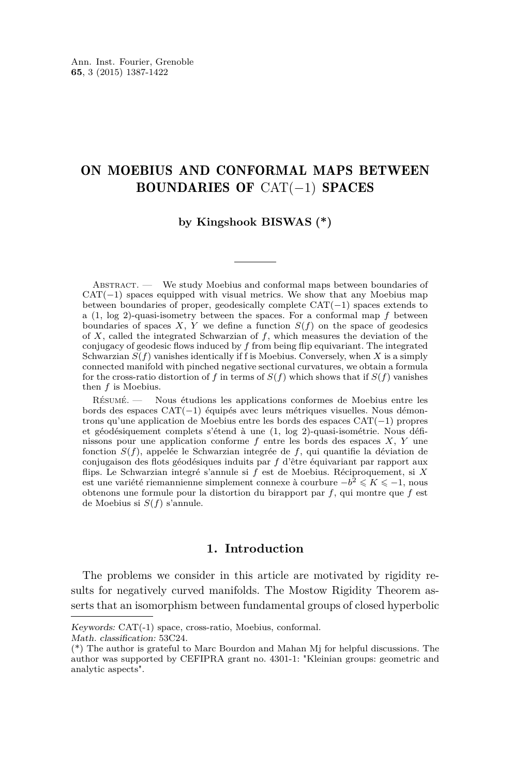#### ON MOEBIUS AND CONFORMAL MAPS BETWEEN BOUNDARIES OF CAT(−1) SPACES

#### **by Kingshook BISWAS (\*)**

Abstract. — We study Moebius and conformal maps between boundaries of  $CAT(-1)$  spaces equipped with visual metrics. We show that any Moebius map between boundaries of proper, geodesically complete CAT(−1) spaces extends to a (1, log 2)-quasi-isometry between the spaces. For a conformal map *f* between boundaries of spaces *X*, *Y* we define a function *S*(*f*) on the space of geodesics of *X*, called the integrated Schwarzian of *f*, which measures the deviation of the conjugacy of geodesic flows induced by *f* from being flip equivariant. The integrated Schwarzian  $S(f)$  vanishes identically if f is Moebius. Conversely, when *X* is a simply connected manifold with pinched negative sectional curvatures, we obtain a formula for the cross-ratio distortion of *f* in terms of  $S(f)$  which shows that if  $S(f)$  vanishes then *f* is Moebius.

Résumé. — Nous étudions les applications conformes de Moebius entre les bords des espaces CAT(−1) équipés avec leurs métriques visuelles. Nous démontrons qu'une application de Moebius entre les bords des espaces CAT(−1) propres et géodésiquement complets s'étend à une (1, log 2)-quasi-isométrie. Nous définissons pour une application conforme *f* entre les bords des espaces *X*, *Y* une fonction *S*(*f*), appelée le Schwarzian integrée de *f*, qui quantifie la déviation de conjugaison des flots géodésiques induits par *f* d'être équivariant par rapport aux flips. Le Schwarzian integré s'annule si *f* est de Moebius. Réciproquement, si *X* est une variété riemannienne simplement connexe à courbure  $-b^2 \leqslant K \leqslant -1$ , nous obtenons une formule pour la distortion du birapport par *f*, qui montre que *f* est de Moebius si *S*(*f*) s'annule.

#### **1. Introduction**

The problems we consider in this article are motivated by rigidity results for negatively curved manifolds. The Mostow Rigidity Theorem asserts that an isomorphism between fundamental groups of closed hyperbolic

Keywords: CAT(-1) space, cross-ratio, Moebius, conformal.

Math. classification: 53C24.

<sup>(\*)</sup> The author is grateful to Marc Bourdon and Mahan Mj for helpful discussions. The author was supported by CEFIPRA grant no. 4301-1: "Kleinian groups: geometric and analytic aspects".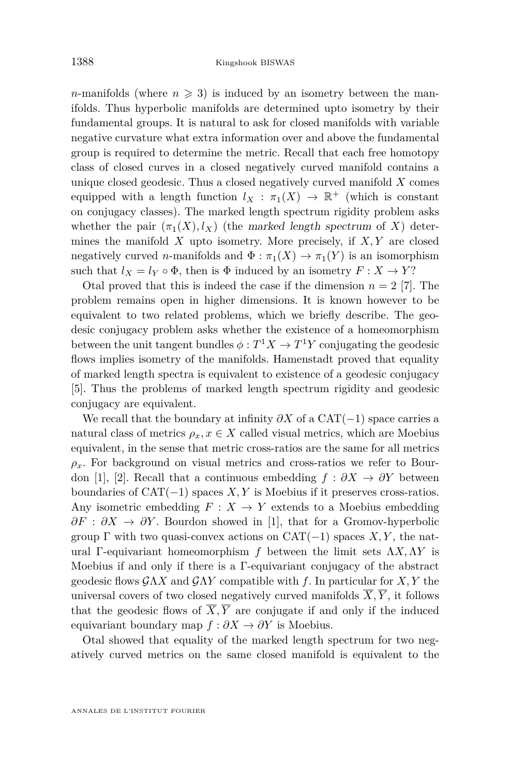*n*-manifolds (where  $n \geq 3$ ) is induced by an isometry between the manifolds. Thus hyperbolic manifolds are determined upto isometry by their fundamental groups. It is natural to ask for closed manifolds with variable negative curvature what extra information over and above the fundamental group is required to determine the metric. Recall that each free homotopy class of closed curves in a closed negatively curved manifold contains a unique closed geodesic. Thus a closed negatively curved manifold *X* comes equipped with a length function  $l_X : \pi_1(X) \to \mathbb{R}^+$  (which is constant on conjugacy classes). The marked length spectrum rigidity problem asks whether the pair  $(\pi_1(X), l_X)$  (the marked length spectrum of X) determines the manifold *X* upto isometry. More precisely, if *X, Y* are closed negatively curved *n*-manifolds and  $\Phi : \pi_1(X) \to \pi_1(Y)$  is an isomorphism such that  $l_X = l_Y \circ \Phi$ , then is  $\Phi$  induced by an isometry  $F: X \to Y$ ?

Otal proved that this is indeed the case if the dimension  $n = 2$  [\[7\]](#page-36-0). The problem remains open in higher dimensions. It is known however to be equivalent to two related problems, which we briefly describe. The geodesic conjugacy problem asks whether the existence of a homeomorphism between the unit tangent bundles  $\phi: T^1 X \to T^1 Y$  conjugating the geodesic flows implies isometry of the manifolds. Hamenstadt proved that equality of marked length spectra is equivalent to existence of a geodesic conjugacy [\[5\]](#page-36-0). Thus the problems of marked length spectrum rigidity and geodesic conjugacy are equivalent.

We recall that the boundary at infinity  $\partial X$  of a CAT(−1) space carries a natural class of metrics  $\rho_x, x \in X$  called visual metrics, which are Moebius equivalent, in the sense that metric cross-ratios are the same for all metrics  $\rho_x$ . For background on visual metrics and cross-ratios we refer to Bour-don [\[1\]](#page-36-0), [\[2\]](#page-36-0). Recall that a continuous embedding  $f : \partial X \to \partial Y$  between boundaries of  $CAT(-1)$  spaces *X, Y* is Moebius if it preserves cross-ratios. Any isometric embedding  $F: X \to Y$  extends to a Moebius embedding  $\partial F : \partial X \to \partial Y$ . Bourdon showed in [\[1\]](#page-36-0), that for a Gromov-hyperbolic group  $\Gamma$  with two quasi-convex actions on CAT(−1) spaces *X,Y*, the natural Γ-equivariant homeomorphism *f* between the limit sets Λ*X,*Λ*Y* is Moebius if and only if there is a Γ-equivariant conjugacy of the abstract geodesic flows GΛ*X* and GΛ*Y* compatible with *f*. In particular for *X, Y* the universal covers of two closed negatively curved manifolds  $\overline{X}, \overline{Y}$ , it follows that the geodesic flows of  $\overline{X}, \overline{Y}$  are conjugate if and only if the induced equivariant boundary map  $f : \partial X \to \partial Y$  is Moebius.

Otal showed that equality of the marked length spectrum for two negatively curved metrics on the same closed manifold is equivalent to the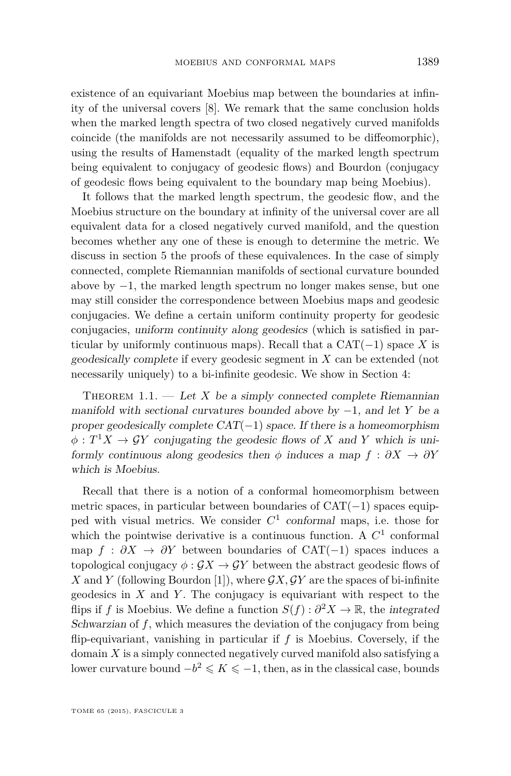<span id="page-3-0"></span>existence of an equivariant Moebius map between the boundaries at infinity of the universal covers [\[8\]](#page-36-0). We remark that the same conclusion holds when the marked length spectra of two closed negatively curved manifolds coincide (the manifolds are not necessarily assumed to be diffeomorphic), using the results of Hamenstadt (equality of the marked length spectrum being equivalent to conjugacy of geodesic flows) and Bourdon (conjugacy of geodesic flows being equivalent to the boundary map being Moebius).

It follows that the marked length spectrum, the geodesic flow, and the Moebius structure on the boundary at infinity of the universal cover are all equivalent data for a closed negatively curved manifold, and the question becomes whether any one of these is enough to determine the metric. We discuss in section 5 the proofs of these equivalences. In the case of simply connected, complete Riemannian manifolds of sectional curvature bounded above by −1, the marked length spectrum no longer makes sense, but one may still consider the correspondence between Moebius maps and geodesic conjugacies. We define a certain uniform continuity property for geodesic conjugacies, uniform continuity along geodesics (which is satisfied in particular by uniformly continuous maps). Recall that a  $CAT(-1)$  space *X* is geodesically complete if every geodesic segment in *X* can be extended (not necessarily uniquely) to a bi-infinite geodesic. We show in Section [4:](#page-14-0)

THEOREM 1.1. — Let  $X$  be a simply connected complete Riemannian manifold with sectional curvatures bounded above by −1, and let *Y* be a proper geodesically complete  $CAT(-1)$  space. If there is a homeomorphism  $\phi: T^1 X \to \mathcal{G} Y$  conjugating the geodesic flows of *X* and *Y* which is uniformly continuous along geodesics then  $\phi$  induces a map  $f : \partial X \to \partial Y$ which is Moebius.

Recall that there is a notion of a conformal homeomorphism between metric spaces, in particular between boundaries of  $CAT(-1)$  spaces equipped with visual metrics. We consider *C* 1 conformal maps, i.e. those for which the pointwise derivative is a continuous function. A  $C<sup>1</sup>$  conformal map  $f : \partial X \to \partial Y$  between boundaries of CAT(−1) spaces induces a topological conjugacy  $\phi : \mathcal{G}X \to \mathcal{G}Y$  between the abstract geodesic flows of X and *Y* (following Bourdon [\[1\]](#page-36-0)), where  $\mathcal{G}X, \mathcal{G}Y$  are the spaces of bi-infinite geodesics in *X* and *Y* . The conjugacy is equivariant with respect to the flips if *f* is Moebius. We define a function  $S(f): \partial^2 X \to \mathbb{R}$ , the integrated Schwarzian of f, which measures the deviation of the conjugacy from being flip-equivariant, vanishing in particular if  $f$  is Moebius. Coversely, if the domain *X* is a simply connected negatively curved manifold also satisfying a lower curvature bound  $-b^2 \leqslant K \leqslant -1$ , then, as in the classical case, bounds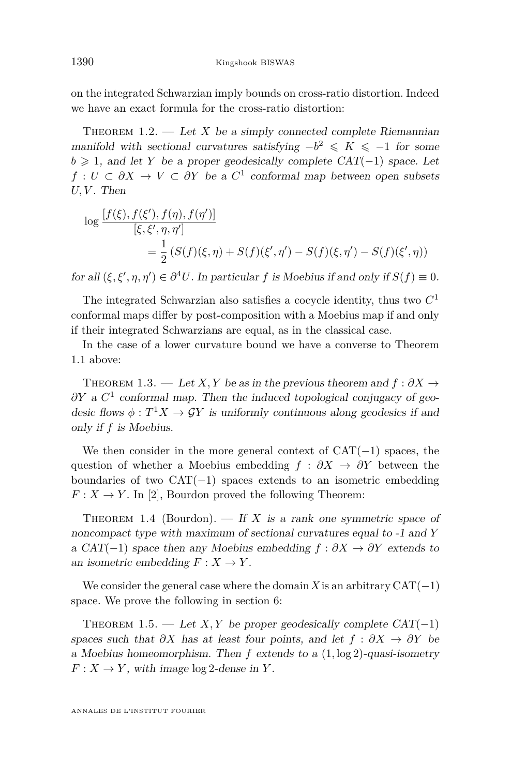<span id="page-4-0"></span>on the integrated Schwarzian imply bounds on cross-ratio distortion. Indeed we have an exact formula for the cross-ratio distortion:

THEOREM  $1.2.$  — Let *X* be a simply connected complete Riemannian manifold with sectional curvatures satisfying  $-b^2 \le K \le -1$  for some  $b \geq 1$ , and let *Y* be a proper geodesically complete CAT(−1) space. Let  $f: U \subset \partial X \to V \subset \partial Y$  be a  $C^1$  conformal map between open subsets  $U, V$ . Then

$$
\log \frac{[f(\xi), f(\xi'), f(\eta), f(\eta')]}{[\xi, \xi', \eta, \eta']} = \frac{1}{2} (S(f)(\xi, \eta) + S(f)(\xi', \eta') - S(f)(\xi, \eta') - S(f)(\xi', \eta))
$$

for all  $(\xi, \xi', \eta, \eta') \in \partial^4 U$ . In particular *f* is Moebius if and only if  $S(f) \equiv 0$ .

The integrated Schwarzian also satisfies a cocycle identity, thus two *C* 1 conformal maps differ by post-composition with a Moebius map if and only if their integrated Schwarzians are equal, as in the classical case.

In the case of a lower curvature bound we have a converse to Theorem [1.1](#page-3-0) above:

THEOREM 1.3. — Let *X*, *Y* be as in the previous theorem and  $f : \partial X \to$ *∂Y* a  $C$ <sup>1</sup> conformal map. Then the induced topological conjugacy of geodesic flows  $\phi: T^1 X \to \mathcal{G} Y$  is uniformly continuous along geodesics if and only if *f* is Moebius.

We then consider in the more general context of  $CAT(-1)$  spaces, the question of whether a Moebius embedding *f* : *∂X* → *∂Y* between the boundaries of two  $CAT(-1)$  spaces extends to an isometric embedding  $F: X \to Y$ . In [\[2\]](#page-36-0), Bourdon proved the following Theorem:

THEOREM 1.4 (Bourdon).  $\overline{H} X$  is a rank one symmetric space of noncompact type with maximum of sectional curvatures equal to -1 and *Y* a CAT(-1) space then any Moebius embedding  $f : \partial X \to \partial Y$  extends to an isometric embedding  $F: X \to Y$ .

We consider the general case where the domain X is an arbitrary  $CAT(-1)$ space. We prove the following in section 6:

THEOREM 1.5. — Let *X, Y* be proper geodesically complete  $CAT(-1)$ spaces such that  $\partial X$  has at least four points, and let  $f : \partial X \to \partial Y$  be a Moebius homeomorphism. Then *f* extends to a (1*,* log 2)-quasi-isometry  $F: X \to Y$ , with image  $\log 2$ -dense in *Y*.

ANNALES DE L'INSTITUT FOURIER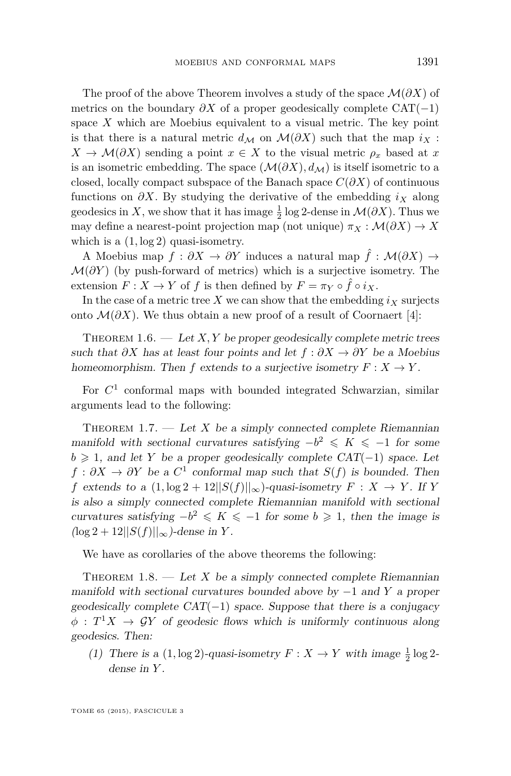<span id="page-5-0"></span>The proof of the above Theorem involves a study of the space M(*∂X*) of metrics on the boundary  $\partial X$  of a proper geodesically complete CAT(−1) space *X* which are Moebius equivalent to a visual metric. The key point is that there is a natural metric  $d_M$  on  $\mathcal{M}(\partial X)$  such that the map  $i_X$ :  $X \to \mathcal{M}(\partial X)$  sending a point  $x \in X$  to the visual metric  $\rho_x$  based at *x* is an isometric embedding. The space  $(\mathcal{M}(\partial X), d_M)$  is itself isometric to a closed, locally compact subspace of the Banach space  $C(\partial X)$  of continuous functions on *∂X*. By studying the derivative of the embedding *i<sup>X</sup>* along geodesics in *X*, we show that it has image  $\frac{1}{2}$  log 2-dense in  $\mathcal{M}(\partial X)$ . Thus we may define a nearest-point projection map (not unique)  $\pi_X : \mathcal{M}(\partial X) \to X$ which is a  $(1, \log 2)$  quasi-isometry.

A Moebius map  $f : \partial X \to \partial Y$  induces a natural map  $\hat{f} : \mathcal{M}(\partial X) \to$  $\mathcal{M}(\partial Y)$  (by push-forward of metrics) which is a surjective isometry. The extension  $F: X \to Y$  of  $f$  is then defined by  $F = \pi_Y \circ \hat{f} \circ i_X$ .

In the case of a metric tree  $X$  we can show that the embedding  $i_X$  surjects onto  $\mathcal{M}(\partial X)$ . We thus obtain a new proof of a result of Coornaert [\[4\]](#page-36-0):

THEOREM  $1.6.$  — Let  $X, Y$  be proper geodesically complete metric trees such that  $\partial X$  has at least four points and let  $f : \partial X \to \partial Y$  be a Moebius homeomorphism. Then *f* extends to a surjective isometry  $F: X \to Y$ .

For  $C<sup>1</sup>$  conformal maps with bounded integrated Schwarzian, similar arguments lead to the following:

THEOREM 1.7. — Let  $X$  be a simply connected complete Riemannian manifold with sectional curvatures satisfying  $-b^2 \leq K \leq -1$  for some  $b \geq 1$ , and let *Y* be a proper geodesically complete CAT(−1) space. Let  $f : \partial X \to \partial Y$  be a  $C^1$  conformal map such that  $S(f)$  is bounded. Then *f* extends to a  $(1, \log 2 + 12||S(f)||_{\infty})$ -quasi-isometry  $F : X \rightarrow Y$ . If Y is also a simply connected complete Riemannian manifold with sectional curvatures satisfying  $-b^2 \leq K \leq -1$  for some  $b \geq 1$ , then the image is (log 2 + 12||*S*(*f*)||∞)-dense in *Y* .

We have as corollaries of the above theorems the following:

THEOREM  $1.8.$  — Let *X* be a simply connected complete Riemannian manifold with sectional curvatures bounded above by −1 and *Y* a proper geodesically complete  $CAT(-1)$  space. Suppose that there is a conjugacy  $\phi: T^1 X \to \mathcal{G} Y$  of geodesic flows which is uniformly continuous along geodesics. Then:

(1) There is a  $(1, \log 2)$ -quasi-isometry  $F: X \to Y$  with image  $\frac{1}{2} \log 2$ dense in *Y* .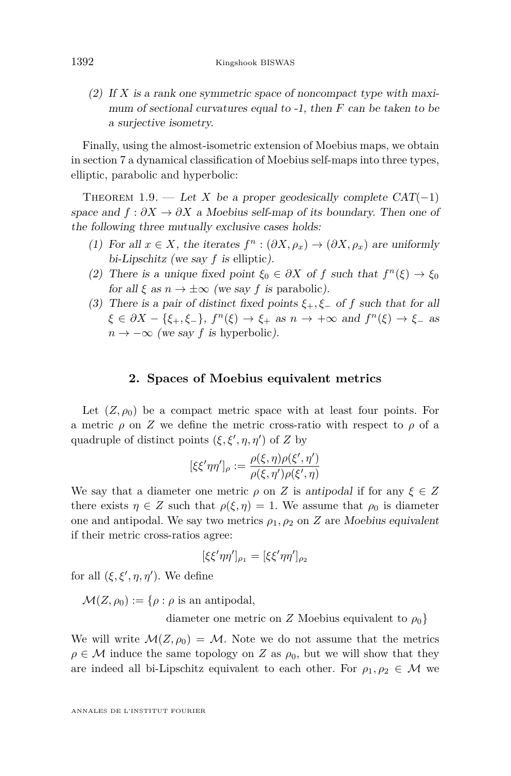<span id="page-6-0"></span>(2) If *X* is a rank one symmetric space of noncompact type with maximum of sectional curvatures equal to -1, then *F* can be taken to be a surjective isometry.

Finally, using the almost-isometric extension of Moebius maps, we obtain in section 7 a dynamical classification of Moebius self-maps into three types, elliptic, parabolic and hyperbolic:

THEOREM 1.9. — Let *X* be a proper geodesically complete  $CAT(-1)$ space and  $f : \partial X \to \partial X$  a Moebius self-map of its boundary. Then one of the following three mutually exclusive cases holds:

- (1) For all  $x \in X$ , the iterates  $f^n : (\partial X, \rho_x) \to (\partial X, \rho_x)$  are uniformly bi-Lipschitz (we say *f* is elliptic).
- (2) There is a unique fixed point  $\xi_0 \in \partial X$  of *f* such that  $f^n(\xi) \to \xi_0$ for all  $\xi$  as  $n \to \pm \infty$  (we say f is parabolic).
- (3) There is a pair of distinct fixed points *ξ*+*, ξ*<sup>−</sup> of *f* such that for all  $\xi \in \partial X - \{\xi_+, \xi_-\}, f^n(\xi) \to \xi_+ \text{ as } n \to +\infty \text{ and } f^n(\xi) \to \xi_- \text{ as }$  $n \to -\infty$  (we say f is hyperbolic).

#### **2. Spaces of Moebius equivalent metrics**

Let  $(Z, \rho_0)$  be a compact metric space with at least four points. For a metric  $\rho$  on *Z* we define the metric cross-ratio with respect to  $\rho$  of a quadruple of distinct points  $(\xi, \xi', \eta, \eta')$  of *Z* by

$$
[\xi \xi' \eta \eta']_{\rho} := \frac{\rho(\xi, \eta) \rho(\xi', \eta')}{\rho(\xi, \eta') \rho(\xi', \eta)}
$$

We say that a diameter one metric  $\rho$  on *Z* is antipodal if for any  $\xi \in Z$ there exists  $\eta \in Z$  such that  $\rho(\xi, \eta) = 1$ . We assume that  $\rho_0$  is diameter one and antipodal. We say two metrics  $\rho_1, \rho_2$  on *Z* are Moebius equivalent if their metric cross-ratios agree:

$$
[\xi\xi'\eta\eta']_{\rho_1}=[\xi\xi'\eta\eta']_{\rho_2}
$$

for all  $(\xi, \xi', \eta, \eta')$ . We define

 $\mathcal{M}(Z,\rho_0) := \{\rho : \rho \text{ is an antipodal},\}$ 

diameter one metric on *Z* Moebius equivalent to  $\rho_0$ 

We will write  $\mathcal{M}(Z,\rho_0) = \mathcal{M}$ . Note we do not assume that the metrics  $\rho \in \mathcal{M}$  induce the same topology on *Z* as  $\rho_0$ , but we will show that they are indeed all bi-Lipschitz equivalent to each other. For  $\rho_1, \rho_2 \in \mathcal{M}$  we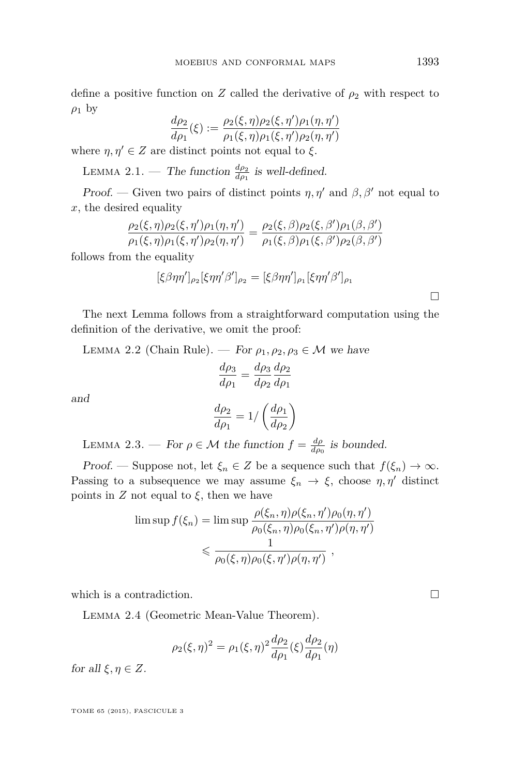define a positive function on *Z* called the derivative of  $\rho_2$  with respect to  $\rho_1$  by

$$
\frac{d\rho_2}{d\rho_1}(\xi) := \frac{\rho_2(\xi, \eta)\rho_2(\xi, \eta')\rho_1(\eta, \eta')}{\rho_1(\xi, \eta)\rho_1(\xi, \eta')\rho_2(\eta, \eta')}
$$

where  $\eta, \eta' \in Z$  are distinct points not equal to  $\xi$ .

LEMMA 2.1. — The function  $\frac{d\rho_2}{d\rho_1}$  is well-defined.

Proof. — Given two pairs of distinct points  $\eta$ ,  $\eta'$  and  $\beta$ ,  $\beta'$  not equal to *x*, the desired equality

$$
\frac{\rho_2(\xi,\eta)\rho_2(\xi,\eta')\rho_1(\eta,\eta')}{\rho_1(\xi,\eta)\rho_1(\xi,\eta')\rho_2(\eta,\eta')} = \frac{\rho_2(\xi,\beta)\rho_2(\xi,\beta')\rho_1(\beta,\beta')}{\rho_1(\xi,\beta)\rho_1(\xi,\beta')\rho_2(\beta,\beta')}
$$

follows from the equality

$$
[\xi \beta \eta \eta']_{\rho_2} [\xi \eta \eta' \beta']_{\rho_2} = [\xi \beta \eta \eta']_{\rho_1} [\xi \eta \eta' \beta']_{\rho_1}
$$

The next Lemma follows from a straightforward computation using the definition of the derivative, we omit the proof:

LEMMA 2.2 (Chain Rule). — For  $\rho_1, \rho_2, \rho_3 \in \mathcal{M}$  we have *dρ*<sup>3</sup> *dρ*<sup>2</sup>

$$
\frac{d\rho_3}{d\rho_1} = \frac{d\rho_3}{d\rho_2} \frac{d\rho_2}{d\rho_1}
$$

and

$$
\frac{d\rho_2}{d\rho_1} = 1 / \left(\frac{d\rho_1}{d\rho_2}\right)
$$

LEMMA 2.3. — For  $\rho \in \mathcal{M}$  the function  $f = \frac{d\rho}{d\rho_0}$  is bounded.

Proof. — Suppose not, let  $\xi_n \in Z$  be a sequence such that  $f(\xi_n) \to \infty$ . Passing to a subsequence we may assume  $\xi_n \to \xi$ , choose  $\eta, \eta'$  distinct points in  $Z$  not equal to  $\xi$ , then we have

$$
\limsup f(\xi_n) = \limsup \frac{\rho(\xi_n, \eta)\rho(\xi_n, \eta')\rho_0(\eta, \eta')}{\rho_0(\xi_n, \eta)\rho_0(\xi_n, \eta')\rho(\eta, \eta')} \leq \frac{1}{\rho_0(\xi, \eta)\rho_0(\xi, \eta')\rho(\eta, \eta')},
$$

which is a contradiction.  $\Box$ 

Lemma 2.4 (Geometric Mean-Value Theorem).

$$
\rho_2(\xi, \eta)^2 = \rho_1(\xi, \eta)^2 \frac{d\rho_2}{d\rho_1}(\xi) \frac{d\rho_2}{d\rho_1}(\eta)
$$

for all  $\xi, \eta \in Z$ .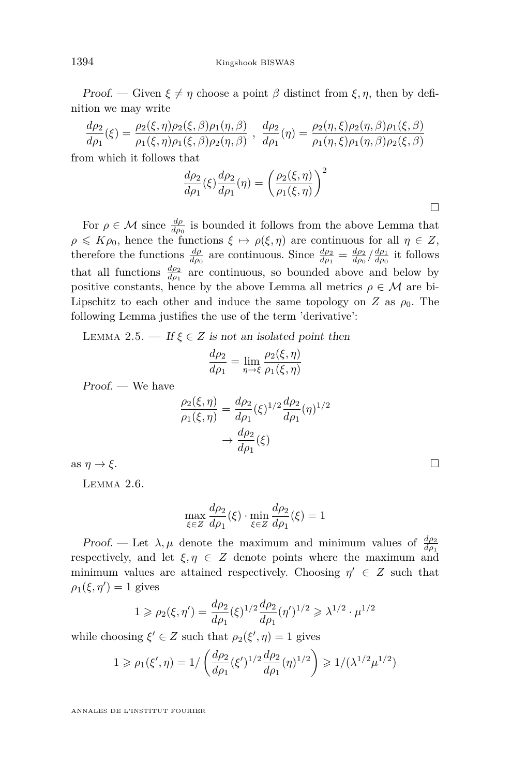<span id="page-8-0"></span>Proof. — Given  $\xi \neq \eta$  choose a point  $\beta$  distinct from  $\xi, \eta$ , then by definition we may write

$$
\frac{d\rho_2}{d\rho_1}(\xi) = \frac{\rho_2(\xi, \eta)\rho_2(\xi, \beta)\rho_1(\eta, \beta)}{\rho_1(\xi, \eta)\rho_1(\xi, \beta)\rho_2(\eta, \beta)}, \frac{d\rho_2}{d\rho_1}(\eta) = \frac{\rho_2(\eta, \xi)\rho_2(\eta, \beta)\rho_1(\xi, \beta)}{\rho_1(\eta, \xi)\rho_1(\eta, \beta)\rho_2(\xi, \beta)}
$$

from which it follows that

$$
\frac{d\rho_2}{d\rho_1}(\xi)\frac{d\rho_2}{d\rho_1}(\eta) = \left(\frac{\rho_2(\xi,\eta)}{\rho_1(\xi,\eta)}\right)^2
$$

For  $\rho \in \mathcal{M}$  since  $\frac{d\rho}{d\rho_0}$  is bounded it follows from the above Lemma that  $\rho \leqslant K\rho_0$ , hence the functions  $\xi \mapsto \rho(\xi, \eta)$  are continuous for all  $\eta \in Z$ , therefore the functions  $\frac{d\rho}{d\rho_0}$  are continuous. Since  $\frac{d\rho_2}{d\rho_1} = \frac{d\rho_2}{d\rho_0} / \frac{d\rho_1}{d\rho_0}$  it follows that all functions  $\frac{d\rho_2}{d\rho_1}$  are continuous, so bounded above and below by positive constants, hence by the above Lemma all metrics  $\rho \in \mathcal{M}$  are bi-Lipschitz to each other and induce the same topology on *Z* as  $\rho_0$ . The following Lemma justifies the use of the term 'derivative':

LEMMA 2.5. — If  $\xi \in Z$  is not an isolated point then

$$
\frac{d\rho_2}{d\rho_1} = \lim_{\eta \to \xi} \frac{\rho_2(\xi, \eta)}{\rho_1(\xi, \eta)}
$$

Proof. — We have

$$
\frac{\rho_2(\xi,\eta)}{\rho_1(\xi,\eta)} = \frac{d\rho_2}{d\rho_1}(\xi)^{1/2} \frac{d\rho_2}{d\rho_1}(\eta)^{1/2} \n \to \frac{d\rho_2}{d\rho_1}(\xi)
$$

as  $\eta \to \xi$ .

Lemma 2.6.

$$
\max_{\xi \in Z} \frac{d\rho_2}{d\rho_1}(\xi) \cdot \min_{\xi \in Z} \frac{d\rho_2}{d\rho_1}(\xi) = 1
$$

Proof. — Let  $\lambda, \mu$  denote the maximum and minimum values of  $\frac{d\rho_2}{d\rho_1}$ respectively, and let  $\xi, \eta \in Z$  denote points where the maximum and minimum values are attained respectively. Choosing  $\eta' \in Z$  such that  $\rho_1(\xi, \eta') = 1$  gives

$$
1 \ge \rho_2(\xi, \eta') = \frac{d\rho_2}{d\rho_1}(\xi)^{1/2} \frac{d\rho_2}{d\rho_1}(\eta')^{1/2} \ge \lambda^{1/2} \cdot \mu^{1/2}
$$

while choosing  $\xi' \in Z$  such that  $\rho_2(\xi', \eta) = 1$  gives

$$
1 \ge \rho_1(\xi', \eta) = 1/\left(\frac{d\rho_2}{d\rho_1}(\xi')^{1/2} \frac{d\rho_2}{d\rho_1}(\eta)^{1/2}\right) \ge 1/(\lambda^{1/2} \mu^{1/2})
$$

ANNALES DE L'INSTITUT FOURIER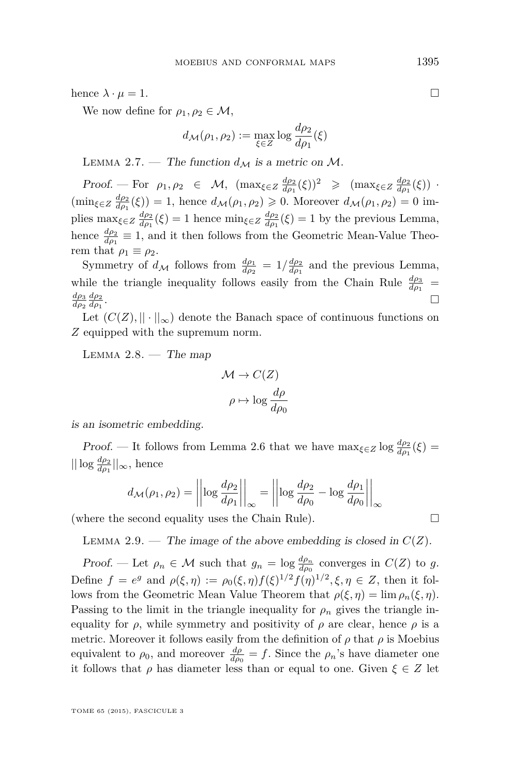<span id="page-9-0"></span>hence  $\lambda \cdot \mu = 1$ .

We now define for  $\rho_1, \rho_2 \in \mathcal{M}$ ,

$$
d_{\mathcal{M}}(\rho_1, \rho_2) := \max_{\xi \in Z} \log \frac{d\rho_2}{d\rho_1}(\xi)
$$

LEMMA 2.7. — The function  $d_M$  is a metric on M.

Proof. — For  $\rho_1, \rho_2 \in \mathcal{M}$ ,  $(\max_{\xi \in Z} \frac{d\rho_2}{d\rho_1}(\xi))^2 \geq (\max_{\xi \in Z} \frac{d\rho_2}{d\rho_1}(\xi))$ .  $(\min_{\xi \in Z} \frac{d\rho_2}{d\rho_1}(\xi)) = 1$ , hence  $d_{\mathcal{M}}(\rho_1, \rho_2) \geq 0$ . Moreover  $d_{\mathcal{M}}(\rho_1, \rho_2) = 0$  implies  $\max_{\xi \in Z} \frac{d\rho_2}{d\rho_1}(\xi) = 1$  hence  $\min_{\xi \in Z} \frac{d\rho_2}{d\rho_1}(\xi) = 1$  by the previous Lemma, hence  $\frac{d\rho_2}{d\rho_1} \equiv 1$ , and it then follows from the Geometric Mean-Value Theorem that  $\rho_1 \equiv \rho_2$ .

Symmetry of  $d_{\mathcal{M}}$  follows from  $\frac{d\rho_1}{d\rho_2} = 1/\frac{d\rho_2}{d\rho_1}$  and the previous Lemma, while the triangle inequality follows easily from the Chain Rule  $\frac{d\rho_3}{d\rho_1}$ *dρ*<sup>3</sup> *dρ*<sup>2</sup> *dρ*<sup>2</sup> *dρ*<sup>1</sup> .

Let  $(C(Z), \|\cdot\|_{\infty})$  denote the Banach space of continuous functions on *Z* equipped with the supremum norm.

LEMMA  $2.8.$  — The map

$$
\mathcal{M} \to C(Z)
$$

$$
\rho \mapsto \log \frac{d\rho}{d\rho_0}
$$

is an isometric embedding.

*Proof.* — It follows from Lemma [2.6](#page-8-0) that we have  $\max_{\xi \in Z} \log \frac{d\rho_2}{d\rho_1}(\xi)$  =  $||log \frac{d\rho_2}{d\rho_1}||_{\infty}$ , hence

$$
d_{\mathcal{M}}(\rho_1, \rho_2) = \left\| \log \frac{d\rho_2}{d\rho_1} \right\|_{\infty} = \left\| \log \frac{d\rho_2}{d\rho_0} - \log \frac{d\rho_1}{d\rho_0} \right\|_{\infty}
$$

(where the second equality uses the Chain Rule).

LEMMA 2.9. — The image of the above embedding is closed in  $C(Z)$ .

Proof. — Let  $\rho_n \in \mathcal{M}$  such that  $g_n = \log \frac{d\rho_n}{d\rho_0}$  converges in  $C(Z)$  to g. Define  $f = e^g$  and  $\rho(\xi, \eta) := \rho_0(\xi, \eta) f(\xi)^{1/2} f(\eta)^{1/2}, \xi, \eta \in Z$ , then it follows from the Geometric Mean Value Theorem that  $\rho(\xi, \eta) = \lim \rho_n(\xi, \eta)$ . Passing to the limit in the triangle inequality for  $\rho_n$  gives the triangle inequality for  $\rho$ , while symmetry and positivity of  $\rho$  are clear, hence  $\rho$  is a metric. Moreover it follows easily from the definition of  $\rho$  that  $\rho$  is Moebius equivalent to  $\rho_0$ , and moreover  $\frac{d\rho}{d\rho_0} = f$ . Since the  $\rho_n$ 's have diameter one it follows that  $\rho$  has diameter less than or equal to one. Given  $\xi \in Z$  let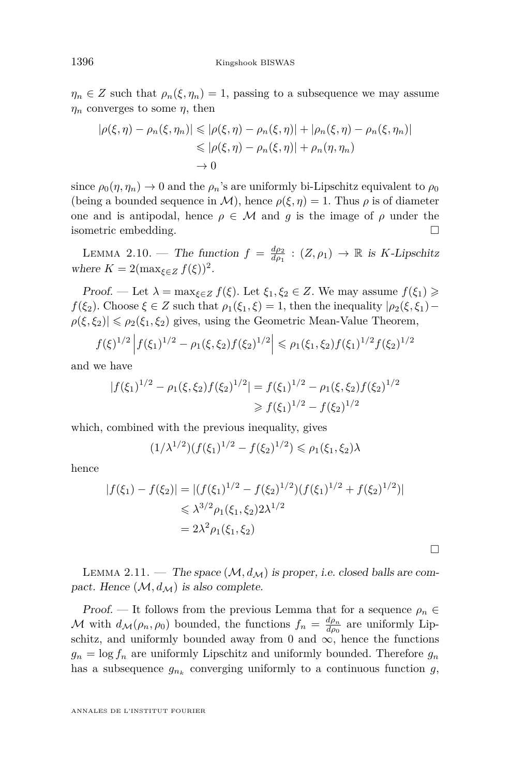$\eta_n \in Z$  such that  $\rho_n(\xi, \eta_n) = 1$ , passing to a subsequence we may assume *η<sup>n</sup>* converges to some *η*, then

$$
|\rho(\xi,\eta) - \rho_n(\xi,\eta_n)| \leq |\rho(\xi,\eta) - \rho_n(\xi,\eta)| + |\rho_n(\xi,\eta) - \rho_n(\xi,\eta_n)|
$$
  

$$
\leq |\rho(\xi,\eta) - \rho_n(\xi,\eta)| + \rho_n(\eta,\eta_n)
$$
  

$$
\to 0
$$

since  $\rho_0(\eta, \eta_n) \to 0$  and the  $\rho_n$ 's are uniformly bi-Lipschitz equivalent to  $\rho_0$ (being a bounded sequence in M), hence  $\rho(\xi, \eta) = 1$ . Thus  $\rho$  is of diameter one and is antipodal, hence  $\rho \in \mathcal{M}$  and *g* is the image of  $\rho$  under the isometric embedding.

LEMMA 2.10. — The function  $f = \frac{d\rho_2}{d\rho_1} : (Z, \rho_1) \to \mathbb{R}$  is *K*-Lipschitz where  $K = 2(\max_{\xi \in Z} f(\xi))^2$ .

Proof. — Let  $\lambda = \max_{\xi \in Z} f(\xi)$ . Let  $\xi_1, \xi_2 \in Z$ . We may assume  $f(\xi_1) \geq$ *f*(*ξ*<sub>2</sub>). Choose  $\xi \in Z$  such that  $\rho_1(\xi_1, \xi) = 1$ , then the inequality  $|\rho_2(\xi, \xi_1) \rho(\xi, \xi_2) \leq \rho_2(\xi_1, \xi_2)$  gives, using the Geometric Mean-Value Theorem,

$$
f(\xi)^{1/2} \left| f(\xi_1)^{1/2} - \rho_1(\xi, \xi_2) f(\xi_2)^{1/2} \right| \leq \rho_1(\xi_1, \xi_2) f(\xi_1)^{1/2} f(\xi_2)^{1/2}
$$

and we have

$$
|f(\xi_1)^{1/2} - \rho_1(\xi, \xi_2)f(\xi_2)^{1/2}| = f(\xi_1)^{1/2} - \rho_1(\xi, \xi_2)f(\xi_2)^{1/2}
$$
  
\n
$$
\geq f(\xi_1)^{1/2} - f(\xi_2)^{1/2}
$$

which, combined with the previous inequality, gives

$$
(1/\lambda^{1/2})(f(\xi_1)^{1/2} - f(\xi_2)^{1/2}) \le \rho_1(\xi_1, \xi_2)\lambda
$$

hence

$$
|f(\xi_1) - f(\xi_2)| = |(f(\xi_1)^{1/2} - f(\xi_2)^{1/2})(f(\xi_1)^{1/2} + f(\xi_2)^{1/2})|
$$
  
\$\leq \lambda^{3/2} \rho\_1(\xi\_1, \xi\_2) 2\lambda^{1/2}\$  
=  $2\lambda^2 \rho_1(\xi_1, \xi_2)$ 

 $\Box$ 

LEMMA 2.11. — The space  $(M, d_M)$  is proper, i.e. closed balls are compact. Hence  $(\mathcal{M}, d_{\mathcal{M}})$  is also complete.

Proof. — It follows from the previous Lemma that for a sequence  $\rho_n \in$ M with  $d_{\mathcal{M}}(\rho_n, \rho_0)$  bounded, the functions  $f_n = \frac{d\rho_n}{d\rho_0}$  are uniformly Lipschitz, and uniformly bounded away from 0 and  $\infty$ , hence the functions  $g_n = \log f_n$  are uniformly Lipschitz and uniformly bounded. Therefore  $g_n$ has a subsequence  $g_{n_k}$  converging uniformly to a continuous function  $g$ ,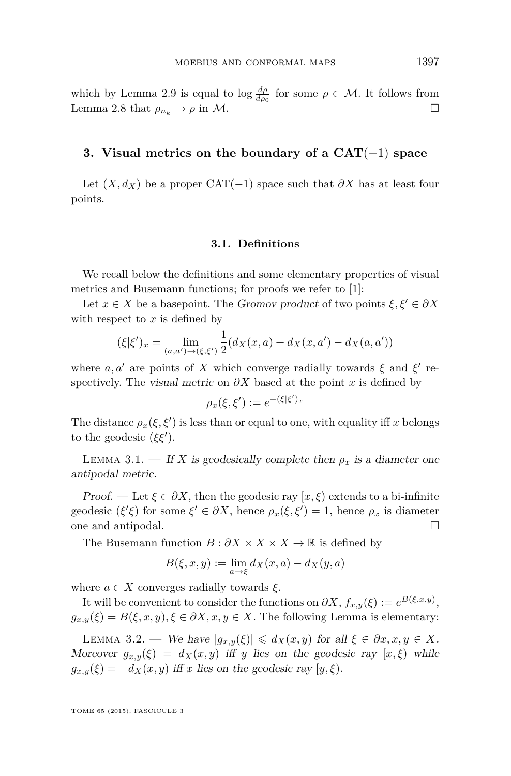which by Lemma [2.9](#page-9-0) is equal to  $\log \frac{d\rho}{d\rho_0}$  for some  $\rho \in \mathcal{M}$ . It follows from Lemma [2.8](#page-9-0) that  $\rho_{n_k} \to \rho$  in M.

#### **3. Visual metrics on the boundary of a CAT**(−1) **space**

Let  $(X, d_X)$  be a proper CAT(−1) space such that  $\partial X$  has at least four points.

#### **3.1. Definitions**

We recall below the definitions and some elementary properties of visual metrics and Busemann functions; for proofs we refer to [\[1\]](#page-36-0):

Let  $x \in X$  be a basepoint. The Gromov product of two points  $\xi, \xi' \in \partial X$ with respect to *x* is defined by

$$
(\xi|\xi')_x = \lim_{(a,a') \to (\xi,\xi')} \frac{1}{2}(d_X(x,a) + d_X(x,a') - d_X(a,a'))
$$

where  $a, a'$  are points of X which converge radially towards  $\xi$  and  $\xi'$  respectively. The visual metric on  $\partial X$  based at the point x is defined by

$$
\rho_x(\xi,\xi') := e^{-(\xi|\xi')_x}
$$

The distance  $\rho_x(\xi, \xi')$  is less than or equal to one, with equality iff *x* belongs to the geodesic  $({\xi} {\xi}')$ .

LEMMA 3.1. — If *X* is geodesically complete then  $\rho_x$  is a diameter one antipodal metric.

Proof. — Let  $\xi \in \partial X$ , then the geodesic ray  $[x,\xi)$  extends to a bi-infinite geodesic  $({\xi'}\xi)$  for some  ${\xi'} \in \partial X$ , hence  $\rho_x({\xi}, {\xi'}) = 1$ , hence  $\rho_x$  is diameter one and antipodal.

The Busemann function  $B : \partial X \times X \times X \to \mathbb{R}$  is defined by

$$
B(\xi, x, y) := \lim_{a \to \xi} d_X(x, a) - d_X(y, a)
$$

where  $a \in X$  converges radially towards  $\xi$ .

It will be convenient to consider the functions on  $\partial X$ ,  $f_{x,y}(\xi) := e^{B(\xi,x,y)}$ ,  $g_{x,y}(\xi) = B(\xi, x, y), \xi \in \partial X, x, y \in X$ . The following Lemma is elementary:

LEMMA 3.2. — We have  $|g_{x,y}(\xi)| \leq d_X(x,y)$  for all  $\xi \in \partial x, x, y \in X$ . Moreover  $g_{x,y}(\xi) = d_X(x,y)$  iff *y* lies on the geodesic ray  $[x,\xi)$  while  $g_{x,y}(\xi) = -d_X(x,y)$  iff *x* lies on the geodesic ray  $[y,\xi)$ .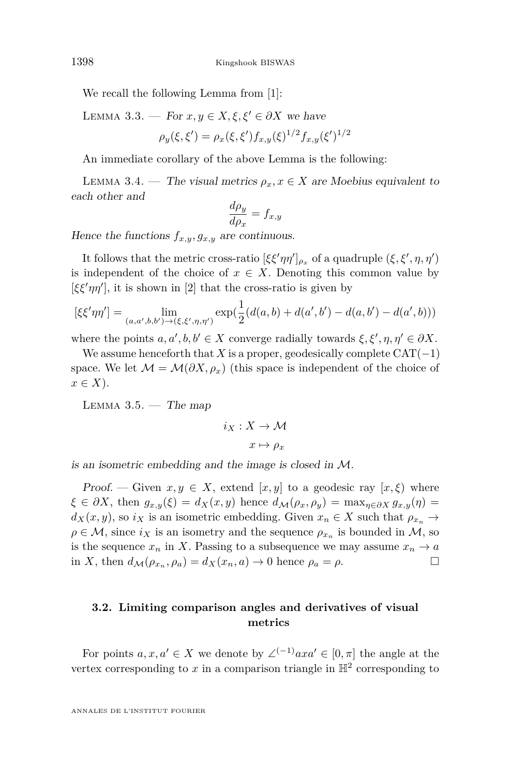We recall the following Lemma from [\[1\]](#page-36-0):

LEMMA 3.3. — For  $x, y \in X, \xi, \xi' \in \partial X$  we have

$$
\rho_y(\xi, \xi') = \rho_x(\xi, \xi') f_{x,y}(\xi)^{1/2} f_{x,y}(\xi')^{1/2}
$$

An immediate corollary of the above Lemma is the following:

LEMMA 3.4. — The visual metrics  $\rho_x, x \in X$  are Moebius equivalent to each other and

$$
\frac{d\rho_y}{d\rho_x} = f_{x,y}
$$

Hence the functions  $f_{x,y}, g_{x,y}$  are continuous.

It follows that the metric cross-ratio  $[\xi \xi' \eta \eta']_{\rho_x}$  of a quadruple  $(\xi, \xi', \eta, \eta')$ is independent of the choice of  $x \in X$ . Denoting this common value by  $[\xi \xi' \eta \eta']$ , it is shown in [\[2\]](#page-36-0) that the cross-ratio is given by

$$
[\xi\xi'\eta\eta'] = \lim_{(a,a',b,b')\to(\xi,\xi',\eta,\eta')}\exp(\frac{1}{2}(d(a,b)+d(a',b')-d(a,b')-d(a',b)))
$$

where the points  $a, a', b, b' \in X$  converge radially towards  $\xi, \xi', \eta, \eta' \in \partial X$ .

We assume henceforth that *X* is a proper, geodesically complete  $CAT(-1)$ space. We let  $\mathcal{M} = \mathcal{M}(\partial X, \rho_x)$  (this space is independent of the choice of  $x \in X$ ).

LEMMA  $3.5.$  — The map

$$
i_X: X \to \mathcal{M}
$$

$$
x \mapsto \rho_x
$$

is an isometric embedding and the image is closed in M.

Proof. — Given  $x, y \in X$ , extend  $[x, y]$  to a geodesic ray  $[x, \xi]$  where  $\xi \in \partial X$ , then  $g_{x,y}(\xi) = d_X(x,y)$  hence  $d_M(\rho_x, \rho_y) = \max_{\eta \in \partial X} g_{x,y}(\eta) =$  $d_X(x, y)$ , so  $i_X$  is an isometric embedding. Given  $x_n \in X$  such that  $\rho_{x_n} \to$  $\rho \in \mathcal{M}$ , since  $i_X$  is an isometry and the sequence  $\rho_{x_n}$  is bounded in  $\mathcal{M}$ , so is the sequence  $x_n$  in *X*. Passing to a subsequence we may assume  $x_n \to a$ in *X*, then  $d_{\mathcal{M}}(\rho_{x_n}, \rho_a) = d_X(x_n, a) \to 0$  hence  $\rho_a = \rho$ .

#### **3.2. Limiting comparison angles and derivatives of visual metrics**

For points  $a, x, a' \in X$  we denote by  $\angle^{(-1)}axa' \in [0, \pi]$  the angle at the vertex corresponding to  $x$  in a comparison triangle in  $\mathbb{H}^2$  corresponding to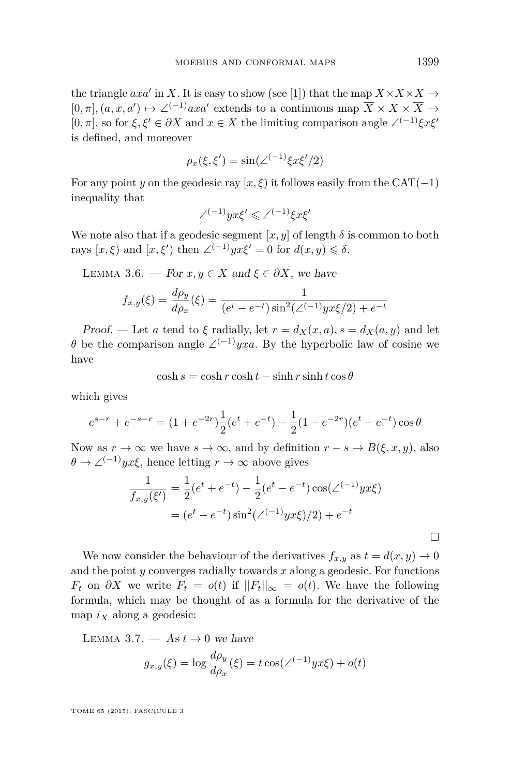<span id="page-13-0"></span>the triangle  $axa'$  in *X*. It is easy to show (see [\[1\]](#page-36-0)) that the map  $X \times X \times X \rightarrow$  $[0, \pi], (a, x, a') \mapsto \angle^{(-1)}axa'$  extends to a continuous map  $\overline{X} \times X \times \overline{X} \rightarrow$  $[0, \pi]$ , so for  $\xi, \xi' \in \partial X$  and  $x \in X$  the limiting comparison angle ∠<sup>(-1)</sup> $\xi x \xi'$ is defined, and moreover

$$
\rho_x(\xi, \xi') = \sin(\angle^{(-1)} \xi x \xi'/2)
$$

For any point *y* on the geodesic ray  $[x, \xi]$  it follows easily from the CAT(−1) inequality that

$$
\angle^{(-1)}yx\xi'\leqslant\angle^{(-1)}\xi x\xi'
$$

We note also that if a geodesic segment  $[x, y]$  of length  $\delta$  is common to both rays  $[x, \xi)$  and  $[x, \xi')$  then  $\angle^{(-1)}yx\xi' = 0$  for  $d(x, y) \le \delta$ .

LEMMA 3.6. — For  $x, y \in X$  and  $\xi \in \partial X$ , we have

$$
f_{x,y}(\xi) = \frac{d\rho_y}{d\rho_x}(\xi) = \frac{1}{(e^t - e^{-t})\sin^2(\angle(-1)yx\xi/2) + e^{-t}}
$$

Proof. — Let *a* tend to *ξ* radially, let  $r = d_X(x, a)$ ,  $s = d_X(a, y)$  and let *θ* be the comparison angle  $\angle^{(-1)} yx \in A$ . By the hyperbolic law of cosine we have

 $\cosh s = \cosh r \cosh t - \sinh r \sinh t \cos \theta$ 

which gives

$$
e^{s-r} + e^{-s-r} = (1 + e^{-2r})\frac{1}{2}(e^t + e^{-t}) - \frac{1}{2}(1 - e^{-2r})(e^t - e^{-t})\cos\theta
$$

Now as  $r \to \infty$  we have  $s \to \infty$ , and by definition  $r - s \to B(\xi, x, y)$ , also  $\theta \to \angle^{(-1)} y x \xi$ , hence letting  $r \to \infty$  above gives

$$
\frac{1}{f_{x,y}(\xi')} = \frac{1}{2}(e^t + e^{-t}) - \frac{1}{2}(e^t - e^{-t})\cos(\angle^{(-1)}yx\xi)
$$

$$
= (e^t - e^{-t})\sin^2(\angle^{(-1)}yx\xi)/2) + e^{-t}
$$

We now consider the behaviour of the derivatives  $f_{x,y}$  as  $t = d(x, y) \rightarrow 0$ and the point *y* converges radially towards *x* along a geodesic. For functions *F*<sub>t</sub> on  $\partial X$  we write  $F_t = o(t)$  if  $||F_t||_{\infty} = o(t)$ . We have the following formula, which may be thought of as a formula for the derivative of the map  $i_X$  along a geodesic:

LEMMA 3.7.  $-$  As  $t \to 0$  we have

$$
g_{x,y}(\xi) = \log \frac{d\rho_y}{d\rho_x}(\xi) = t \cos(\angle^{(-1)} y x \xi) + o(t)
$$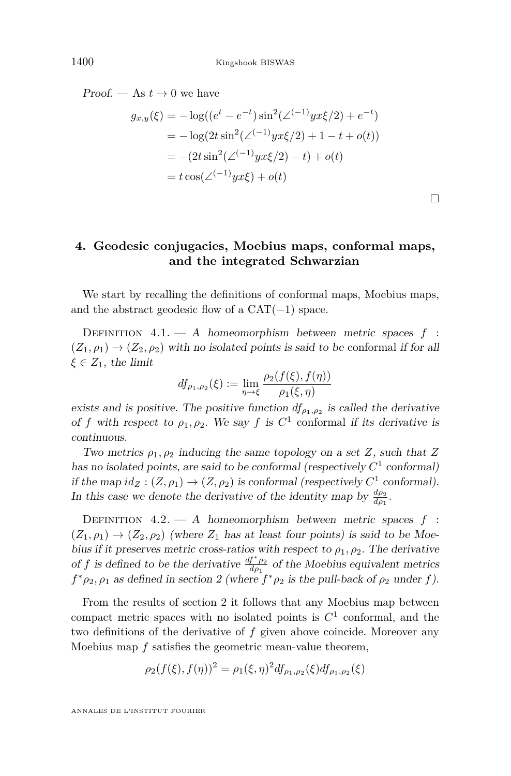<span id="page-14-0"></span>Proof. — As  $t \to 0$  we have

$$
g_{x,y}(\xi) = -\log((e^t - e^{-t})\sin^2(\angle^{(-1)}yx\xi/2) + e^{-t})
$$
  
=  $-\log(2t\sin^2(\angle^{(-1)}yx\xi/2) + 1 - t + o(t))$   
=  $-(2t\sin^2(\angle^{(-1)}yx\xi/2) - t) + o(t)$   
=  $t\cos(\angle^{(-1)}yx\xi) + o(t)$ 

 $\Box$ 

#### **4. Geodesic conjugacies, Moebius maps, conformal maps, and the integrated Schwarzian**

We start by recalling the definitions of conformal maps, Moebius maps, and the abstract geodesic flow of a  $CAT(-1)$  space.

Definition 4.1. — A homeomorphism between metric spaces *f* :  $(Z_1, \rho_1) \rightarrow (Z_2, \rho_2)$  with no isolated points is said to be conformal if for all  $\xi \in Z_1$ , the limit

$$
df_{\rho_1,\rho_2}(\xi) := \lim_{\eta \to \xi} \frac{\rho_2(f(\xi), f(\eta))}{\rho_1(\xi, \eta)}
$$

exists and is positive. The positive function  $df_{\rho_1,\rho_2}$  is called the derivative of *f* with respect to  $\rho_1, \rho_2$ . We say *f* is  $C^1$  conformal if its derivative is continuous.

Two metrics  $\rho_1, \rho_2$  inducing the same topology on a set *Z*, such that *Z* has no isolated points, are said to be conformal (respectively  $C<sup>1</sup>$  conformal) if the map  $id_Z : (Z, \rho_1) \to (Z, \rho_2)$  is conformal (respectively  $C^1$  conformal). In this case we denote the derivative of the identity map by  $\frac{d\rho_2}{d\rho_1}$ .

DEFINITION  $4.2. - A$  homeomorphism between metric spaces  $f$ :  $(Z_1, \rho_1) \rightarrow (Z_2, \rho_2)$  (where  $Z_1$  has at least four points) is said to be Moebius if it preserves metric cross-ratios with respect to  $\rho_1, \rho_2$ . The derivative of *f* is defined to be the derivative  $\frac{df^* \rho_2}{d\rho_1}$  of the Moebius equivalent metrics  $f^* \rho_2$ ,  $\rho_1$  as defined in section 2 (where  $f^* \rho_2$  is the pull-back of  $\rho_2$  under  $f$ ).

From the results of section 2 it follows that any Moebius map between compact metric spaces with no isolated points is  $C<sup>1</sup>$  conformal, and the two definitions of the derivative of *f* given above coincide. Moreover any Moebius map *f* satisfies the geometric mean-value theorem,

$$
\rho_2(f(\xi), f(\eta))^2 = \rho_1(\xi, \eta)^2 df_{\rho_1, \rho_2}(\xi) df_{\rho_1, \rho_2}(\xi)
$$

ANNALES DE L'INSTITUT FOURIER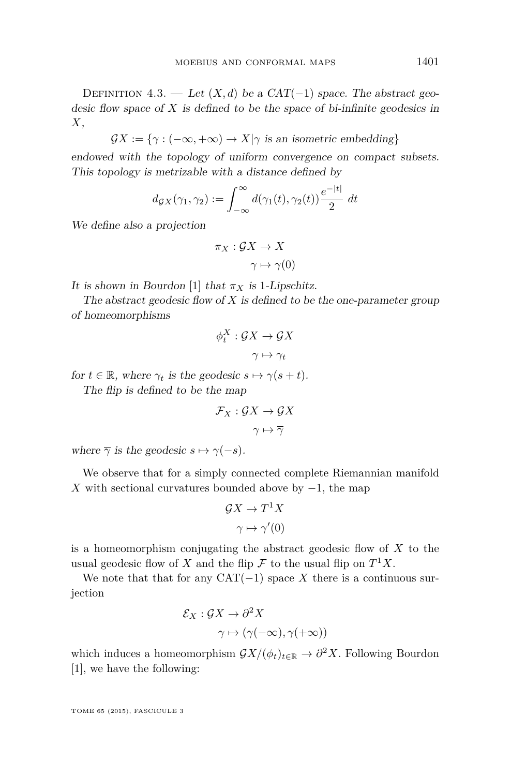DEFINITION 4.3. — Let  $(X, d)$  be a CAT(-1) space. The abstract geodesic flow space of *X* is defined to be the space of bi-infinite geodesics in *X*,

 $\mathcal{G}X := \{\gamma : (-\infty, +\infty) \to X | \gamma \text{ is an isometric embedding}\}\$ 

endowed with the topology of uniform convergence on compact subsets. This topology is metrizable with a distance defined by

$$
d_{\mathcal{G}X}(\gamma_1, \gamma_2) := \int_{-\infty}^{\infty} d(\gamma_1(t), \gamma_2(t)) \frac{e^{-|t|}}{2} dt
$$

We define also a projection

$$
\pi_X : \mathcal{G}X \to X
$$

$$
\gamma \mapsto \gamma(0)
$$

It is shown in Bourdon [\[1\]](#page-36-0) that  $\pi_X$  is 1-Lipschitz.

The abstract geodesic flow of *X* is defined to be the one-parameter group of homeomorphisms

$$
\phi_t^X : \mathcal{G}X \to \mathcal{G}X
$$

$$
\gamma \mapsto \gamma_t
$$

for  $t \in \mathbb{R}$ , where  $\gamma_t$  is the geodesic  $s \mapsto \gamma(s+t)$ . The flip is defined to be the map

$$
\mathcal{F}_X : \mathcal{G}X \to \mathcal{G}X
$$

$$
\gamma \mapsto \overline{\gamma}
$$

where  $\overline{\gamma}$  is the geodesic  $s \mapsto \gamma(-s)$ .

We observe that for a simply connected complete Riemannian manifold *X* with sectional curvatures bounded above by  $-1$ , the map

$$
\mathcal{G}X \to T^1 X
$$

$$
\gamma \mapsto \gamma'(0)
$$

is a homeomorphism conjugating the abstract geodesic flow of *X* to the usual geodesic flow of *X* and the flip  $\mathcal F$  to the usual flip on  $T^1X$ .

We note that that for any  $CAT(-1)$  space *X* there is a continuous surjection

$$
\mathcal{E}_X : \mathcal{G}X \to \partial^2 X
$$

$$
\gamma \mapsto (\gamma(-\infty), \gamma(+\infty))
$$

which induces a homeomorphism  $\mathcal{G}X/(\phi_t)_{t\in\mathbb{R}} \to \partial^2 X$ . Following Bourdon [\[1\]](#page-36-0), we have the following: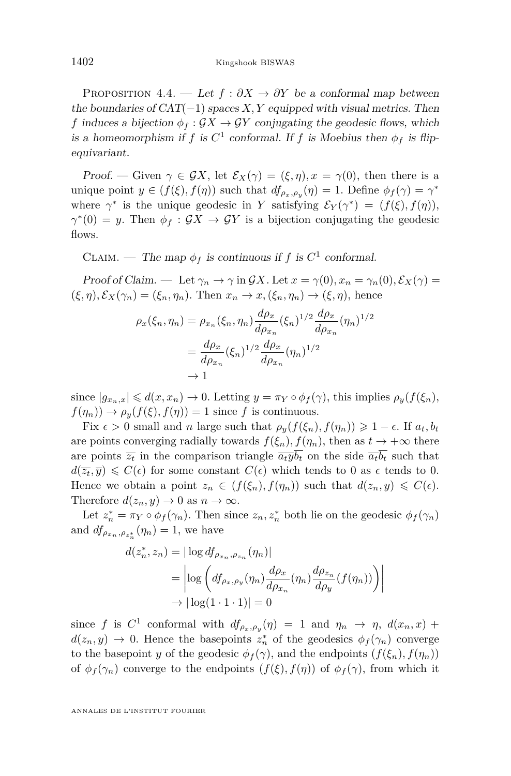<span id="page-16-0"></span>PROPOSITION 4.4. — Let  $f : \partial X \to \partial Y$  be a conformal map between the boundaries of  $CAT(-1)$  spaces *X, Y* equipped with visual metrics. Then *f* induces a bijection  $\phi_f : \mathcal{G}X \to \mathcal{G}Y$  conjugating the geodesic flows, which is a homeomorphism if *f* is  $C^1$  conformal. If *f* is Moebius then  $\phi_f$  is flipequivariant.

Proof. — Given  $\gamma \in \mathcal{G}X$ , let  $\mathcal{E}_X(\gamma) = (\xi, \eta), x = \gamma(0)$ , then there is a unique point  $y \in (f(\xi), f(\eta))$  such that  $df_{\rho_x, \rho_y}(\eta) = 1$ . Define  $\phi_f(\gamma) = \gamma^*$ where  $\gamma^*$  is the unique geodesic in *Y* satisfying  $\mathcal{E}_Y(\gamma^*) = (f(\xi), f(\eta)),$  $\gamma^*(0) = y$ . Then  $\phi_f : \mathcal{G}X \to \mathcal{G}Y$  is a bijection conjugating the geodesic flows.

CLAIM. — The map  $\phi_f$  is continuous if *f* is  $C^1$  conformal.

Proof of Claim. — Let  $\gamma_n \to \gamma$  in GX. Let  $x = \gamma(0), x_n = \gamma_n(0), \mathcal{E}_X(\gamma) =$  $(\xi, \eta), \mathcal{E}_X(\gamma_n) = (\xi_n, \eta_n)$ . Then  $x_n \to x, (\xi_n, \eta_n) \to (\xi, \eta)$ , hence

$$
\rho_x(\xi_n, \eta_n) = \rho_{x_n}(\xi_n, \eta_n) \frac{d\rho_x}{d\rho_{x_n}} (\xi_n)^{1/2} \frac{d\rho_x}{d\rho_{x_n}} (\eta_n)^{1/2}
$$

$$
= \frac{d\rho_x}{d\rho_{x_n}} (\xi_n)^{1/2} \frac{d\rho_x}{d\rho_{x_n}} (\eta_n)^{1/2}
$$

$$
\to 1
$$

since  $|g_{x_n,x}| \leq d(x,x_n) \to 0$ . Letting  $y = \pi_Y \circ \phi_f(\gamma)$ , this implies  $\rho_y(f(\xi_n))$ ,  $f(\eta_n) \to \rho_y(f(\xi), f(\eta)) = 1$  since *f* is continuous.

Fix  $\epsilon > 0$  small and *n* large such that  $\rho_y(f(\xi_n), f(\eta_n)) \geq 1 - \epsilon$ . If  $a_t, b_t$ are points converging radially towards  $f(\xi_n)$ ,  $f(\eta_n)$ , then as  $t \to +\infty$  there are points  $\overline{z_t}$  in the comparison triangle  $\overline{a_t y b_t}$  on the side  $\overline{a_t b_t}$  such that  $d(\overline{z_t}, \overline{y}) \leq C(\epsilon)$  for some constant  $C(\epsilon)$  which tends to 0 as  $\epsilon$  tends to 0. Hence we obtain a point  $z_n \in (f(\xi_n), f(\eta_n))$  such that  $d(z_n, y) \leq C(\epsilon)$ . Therefore  $d(z_n, y) \to 0$  as  $n \to \infty$ .

Let  $z_n^* = \pi_Y \circ \phi_f(\gamma_n)$ . Then since  $z_n, z_n^*$  both lie on the geodesic  $\phi_f(\gamma_n)$ and  $df_{\rho_{x_n}, \rho_{z_n^*}}(\eta_n) = 1$ , we have

$$
d(z_n^*, z_n) = |\log df_{\rho_{x_n}, \rho_{z_n}}(\eta_n)|
$$
  
= 
$$
|\log \left( df_{\rho_x, \rho_y}(\eta_n) \frac{d\rho_x}{d\rho_{x_n}}(\eta_n) \frac{d\rho_{z_n}}{d\rho_y} (f(\eta_n)) \right)|
$$
  

$$
\to |\log(1 \cdot 1 \cdot 1)| = 0
$$

since *f* is  $C^1$  conformal with  $df_{\rho_x,\rho_y}(\eta) = 1$  and  $\eta_n \to \eta$ ,  $d(x_n, x) +$  $d(z_n, y) \to 0$ . Hence the basepoints  $z_n^*$  of the geodesics  $\phi_f(\gamma_n)$  converge to the basepoint *y* of the geodesic  $\phi_f(\gamma)$ , and the endpoints  $(f(\xi_n), f(\eta_n))$ of  $\phi_f(\gamma_n)$  converge to the endpoints  $(f(\xi), f(\eta))$  of  $\phi_f(\gamma)$ , from which it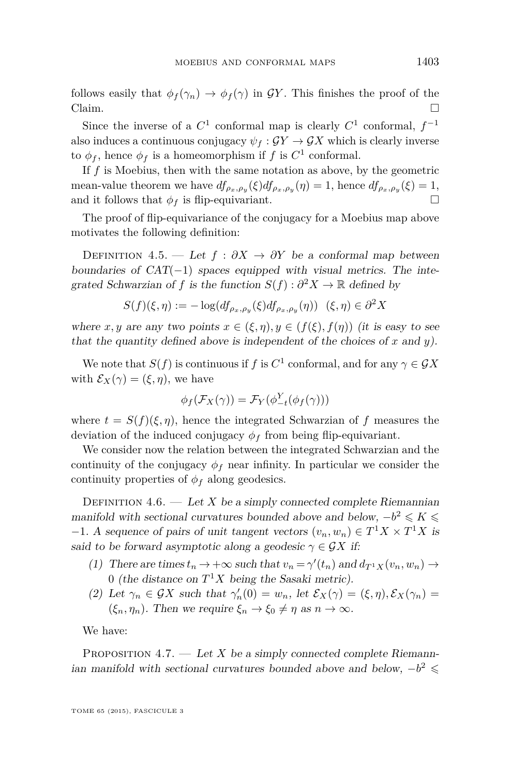<span id="page-17-0"></span>follows easily that  $\phi_f(\gamma_n) \to \phi_f(\gamma)$  in GY. This finishes the proof of the Claim.  $\Box$ 

Since the inverse of a  $C^1$  conformal map is clearly  $C^1$  conformal,  $f^{-1}$ also induces a continuous conjugacy  $\psi_f : \mathcal{G}Y \to \mathcal{G}X$  which is clearly inverse to  $\phi_f$ , hence  $\phi_f$  is a homeomorphism if *f* is  $C^1$  conformal.

If *f* is Moebius, then with the same notation as above, by the geometric mean-value theorem we have  $df_{\rho_x,\rho_y}(\xi)df_{\rho_x,\rho_y}(\eta) = 1$ , hence  $df_{\rho_x,\rho_y}(\xi) = 1$ , and it follows that  $\phi_f$  is flip-equivariant.

The proof of flip-equivariance of the conjugacy for a Moebius map above motivates the following definition:

DEFINITION 4.5. — Let  $f : \partial X \to \partial Y$  be a conformal map between boundaries of  $CAT(-1)$  spaces equipped with visual metrics. The integrated Schwarzian of *f* is the function  $S(f) : \partial^2 X \to \mathbb{R}$  defined by

$$
S(f)(\xi,\eta) := -\log(df_{\rho_x,\rho_y}(\xi)df_{\rho_x,\rho_y}(\eta)) \quad (\xi,\eta) \in \partial^2 X
$$

where *x*, *y* are any two points  $x \in (\xi, \eta), y \in (f(\xi), f(\eta))$  (it is easy to see that the quantity defined above is independent of the choices of *x* and *y*).

We note that  $S(f)$  is continuous if *f* is  $C^1$  conformal, and for any  $\gamma \in \mathcal{G}X$ with  $\mathcal{E}_X(\gamma) = (\xi, \eta)$ , we have

$$
\phi_f(\mathcal{F}_X(\gamma)) = \mathcal{F}_Y(\phi_{-t}^Y(\phi_f(\gamma)))
$$

where  $t = S(f)(\xi, \eta)$ , hence the integrated Schwarzian of f measures the deviation of the induced conjugacy  $\phi_f$  from being flip-equivariant.

We consider now the relation between the integrated Schwarzian and the continuity of the conjugacy  $\phi_f$  near infinity. In particular we consider the continuity properties of  $\phi_f$  along geodesics.

DEFINITION  $4.6.$  — Let *X* be a simply connected complete Riemannian manifold with sectional curvatures bounded above and below,  $-b^2 \leq K \leq$  $-1$ . A sequence of pairs of unit tangent vectors  $(v_n, w_n) \in T^1 X \times T^1 X$  is said to be forward asymptotic along a geodesic  $\gamma \in \mathcal{G}X$  if:

- (1) There are times  $t_n \to +\infty$  such that  $v_n = \gamma'(t_n)$  and  $d_{T^1 X}(v_n, w_n) \to$ 0 (the distance on  $T^1X$  being the Sasaki metric).
- (2) Let  $\gamma_n \in \mathcal{G}X$  such that  $\gamma'_n(0) = w_n$ , let  $\mathcal{E}_X(\gamma) = (\xi, \eta), \mathcal{E}_X(\gamma_n) =$  $(\xi_n, \eta_n)$ . Then we require  $\xi_n \to \xi_0 \neq \eta$  as  $n \to \infty$ .

We have:

PROPOSITION  $4.7.$  — Let *X* be a simply connected complete Riemannian manifold with sectional curvatures bounded above and below,  $-b^2 \le$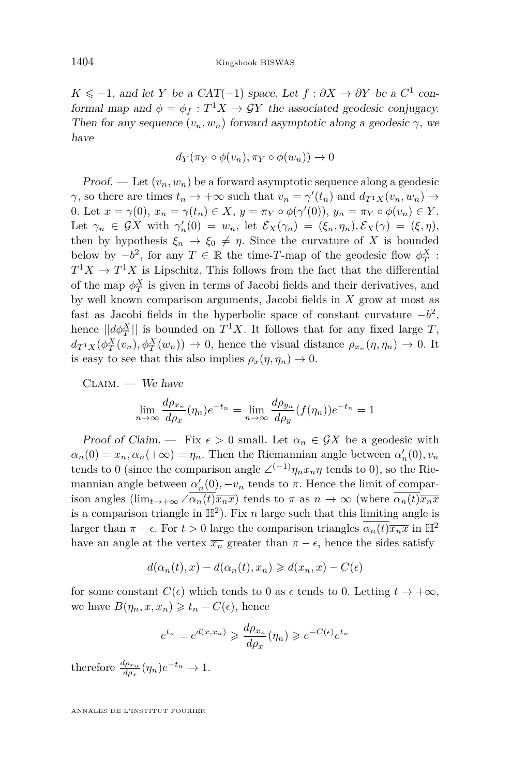*K* ≤ −1, and let *Y* be a CAT(−1) space. Let  $f : ∂X \to ∂Y$  be a C<sup>1</sup> conformal map and  $\phi = \phi_f : T^1 X \to \mathcal{G}Y$  the associated geodesic conjugacy. Then for any sequence  $(v_n, w_n)$  forward asymptotic along a geodesic  $\gamma$ , we have

$$
d_Y(\pi_Y \circ \phi(v_n), \pi_Y \circ \phi(w_n)) \to 0
$$

Proof. — Let  $(v_n, w_n)$  be a forward asymptotic sequence along a geodesic *γ*, so there are times  $t_n \to +\infty$  such that  $v_n = \gamma'(t_n)$  and  $d_{T^1 X}(v_n, w_n) \to$ 0. Let  $x = \gamma(0), x_n = \gamma(t_n) \in X, y = \pi_Y \circ \phi(\gamma'(0)), y_n = \pi_Y \circ \phi(v_n) \in Y$ . Let  $\gamma_n \in \mathcal{G}X$  with  $\gamma'_n(0) = w_n$ , let  $\mathcal{E}_X(\gamma_n) = (\xi_n, \eta_n), \mathcal{E}_X(\gamma) = (\xi, \eta),$ then by hypothesis  $\xi_n \to \xi_0 \neq \eta$ . Since the curvature of X is bounded below by  $-b^2$ , for any  $T \in \mathbb{R}$  the time-*T*-map of the geodesic flow  $\phi_T^X$ :  $T^1X \to T^1X$  is Lipschitz. This follows from the fact that the differential of the map  $\phi_T^X$  is given in terms of Jacobi fields and their derivatives, and by well known comparison arguments, Jacobi fields in *X* grow at most as fast as Jacobi fields in the hyperbolic space of constant curvature  $-b^2$ , hence  $||d\phi_T^X||$  is bounded on  $T^1X$ . It follows that for any fixed large *T*,  $d_{T^1X}(\phi_T^X(v_n), \phi_T^X(w_n)) \to 0$ , hence the visual distance  $\rho_{x_n}(\eta, \eta_n) \to 0$ . It is easy to see that this also implies  $\rho_x(\eta, \eta_n) \to 0$ .

 $CLAIM.$  — We have

$$
\lim_{n \to \infty} \frac{d\rho_{x_n}}{d\rho_x}(\eta_n) e^{-t_n} = \lim_{n \to \infty} \frac{d\rho_{y_n}}{d\rho_y} (f(\eta_n)) e^{-t_n} = 1
$$

Proof of Claim. — Fix  $\epsilon > 0$  small. Let  $\alpha_n \in \mathcal{G}X$  be a geodesic with  $a_n(0) = x_n, a_n(+\infty) = \eta_n$ . Then the Riemannian angle between  $a'_n(0), v_n$ tends to 0 (since the comparison angle  $\angle^{(-1)} \eta_n x_n \eta$  tends to 0), so the Riemannian angle between  $\alpha'_n(0)$ ,  $-v_n$  tends to  $\pi$ . Hence the limit of comparison angles  $(\lim_{t\to+\infty}\angle\alpha_n(t)\overline{x_n x})$  tends to  $\pi$  as  $n\to\infty$  (where  $\alpha_n(t)\overline{x_n x}$ is a comparison triangle in  $\mathbb{H}^2$ ). Fix *n* large such that this limiting angle is larger than  $\pi - \epsilon$ . For  $t > 0$  large the comparison triangles  $\alpha_n(t)\overline{x_n x}$  in  $\mathbb{H}^2$ have an angle at the vertex  $\overline{x}_n$  greater than  $\pi - \epsilon$ , hence the sides satisfy

$$
d(\alpha_n(t),x) - d(\alpha_n(t),x_n) \geq d(x_n,x) - C(\epsilon)
$$

for some constant  $C(\epsilon)$  which tends to 0 as  $\epsilon$  tends to 0. Letting  $t \to +\infty$ , we have  $B(\eta_n, x, x_n) \geq t_n - C(\epsilon)$ , hence

$$
e^{t_n} = e^{d(x,x_n)} \geq \frac{d\rho_{x_n}}{d\rho_x}(\eta_n) \geq e^{-C(\epsilon)}e^{t_n}
$$

therefore  $\frac{d\rho_{x_n}}{d\rho_x}(\eta_n)e^{-t_n} \to 1$ .

ANNALES DE L'INSTITUT FOURIER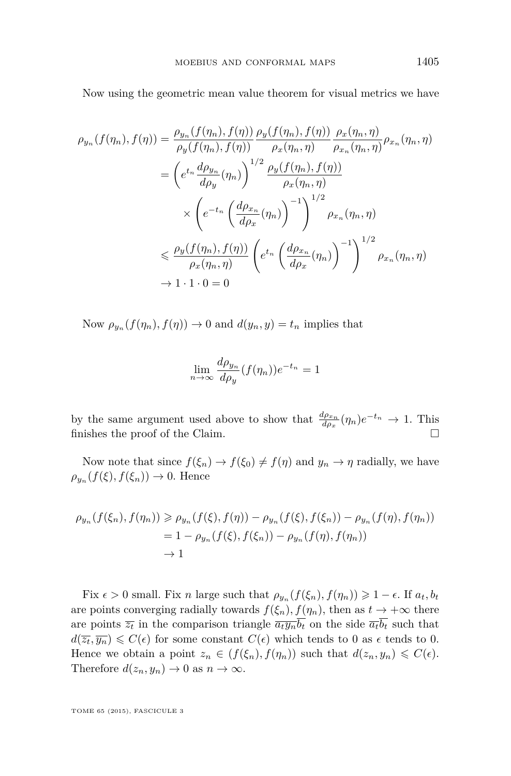Now using the geometric mean value theorem for visual metrics we have

$$
\rho_{y_n}(f(\eta_n), f(\eta)) = \frac{\rho_{y_n}(f(\eta_n), f(\eta))}{\rho_y(f(\eta_n), f(\eta))} \frac{\rho_y(f(\eta_n), f(\eta))}{\rho_x(\eta_n, \eta)} \frac{\rho_x(\eta_n, \eta)}{\rho_{x_n}(\eta_n, \eta)} \rho_{x_n}(\eta_n, \eta)
$$

$$
= \left(e^{t_n} \frac{d\rho_{y_n}}{d\rho_y}(\eta_n)\right)^{1/2} \frac{\rho_y(f(\eta_n), f(\eta))}{\rho_x(\eta_n, \eta)}
$$

$$
\times \left(e^{-t_n} \left(\frac{d\rho_{x_n}}{d\rho_x}(\eta_n)\right)^{-1}\right)^{1/2} \rho_{x_n}(\eta_n, \eta)
$$

$$
\leq \frac{\rho_y(f(\eta_n), f(\eta))}{\rho_x(\eta_n, \eta)} \left(e^{t_n} \left(\frac{d\rho_{x_n}}{d\rho_x}(\eta_n)\right)^{-1}\right)^{1/2} \rho_{x_n}(\eta_n, \eta)
$$

$$
\to 1 \cdot 1 \cdot 0 = 0
$$

Now  $\rho_{y_n}(f(\eta_n), f(\eta)) \to 0$  and  $d(y_n, y) = t_n$  implies that

$$
\lim_{n \to \infty} \frac{d\rho_{y_n}}{d\rho_y} (f(\eta_n)) e^{-t_n} = 1
$$

by the same argument used above to show that  $\frac{d\rho_{x_n}}{d\rho_x}(\eta_n)e^{-t_n} \to 1$ . This finishes the proof of the Claim.  $\Box$ 

Now note that since  $f(\xi_n) \to f(\xi_0) \neq f(\eta)$  and  $y_n \to \eta$  radially, we have  $\rho_{y_n}(f(\xi), f(\xi_n)) \to 0$ . Hence

$$
\rho_{y_n}(f(\xi_n), f(\eta_n)) \ge \rho_{y_n}(f(\xi), f(\eta)) - \rho_{y_n}(f(\xi), f(\xi_n)) - \rho_{y_n}(f(\eta), f(\eta_n))
$$
  
= 1 - \rho\_{y\_n}(f(\xi), f(\xi\_n)) - \rho\_{y\_n}(f(\eta), f(\eta\_n))  

$$
\to 1
$$

Fix  $\epsilon > 0$  small. Fix *n* large such that  $\rho_{y_n}(f(\xi_n), f(\eta_n)) \geq 1 - \epsilon$ . If  $a_t, b_t$ are points converging radially towards  $f(\xi_n)$ ,  $f(\eta_n)$ , then as  $t \to +\infty$  there are points  $\overline{z_t}$  in the comparison triangle  $\overline{a_t y_n} \overline{b_t}$  on the side  $\overline{a_t b_t}$  such that  $d(\overline{z_t}, \overline{y_n}) \leqslant C(\epsilon)$  for some constant  $C(\epsilon)$  which tends to 0 as  $\epsilon$  tends to 0. Hence we obtain a point  $z_n \in (f(\xi_n), f(\eta_n))$  such that  $d(z_n, y_n) \leq C(\epsilon)$ . Therefore  $d(z_n, y_n) \to 0$  as  $n \to \infty$ .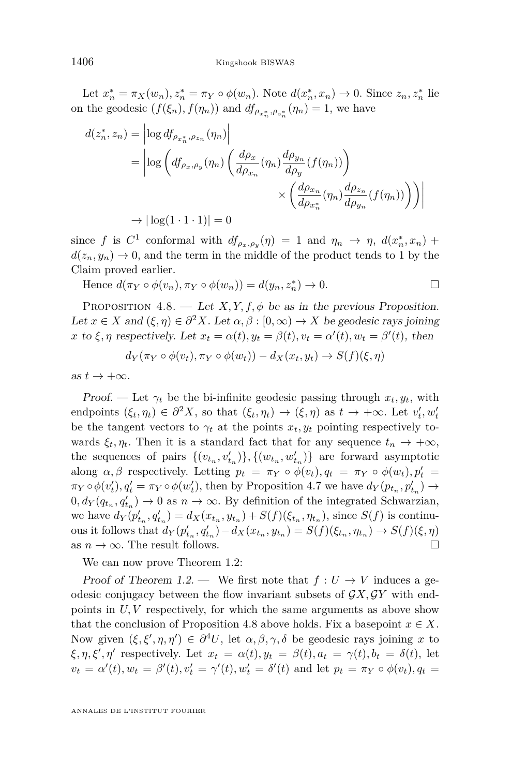<span id="page-20-0"></span>Let  $x_n^* = \pi_X(w_n), z_n^* = \pi_Y \circ \phi(w_n)$ . Note  $d(x_n^*, x_n) \to 0$ . Since  $z_n, z_n^*$  lie on the geodesic  $(f(\xi_n), f(\eta_n))$  and  $df_{\rho_{x_n^*}, \rho_{z_n^*}}(\eta_n) = 1$ , we have

$$
d(z_n^*, z_n) = \left| \log df_{\rho_{x_n^*}, \rho_{z_n}}(\eta_n) \right|
$$
  
= 
$$
\left| \log \left( df_{\rho_x, \rho_y}(\eta_n) \left( \frac{d\rho_x}{d\rho_{x_n}}(\eta_n) \frac{d\rho_{y_n}}{d\rho_y}(f(\eta_n)) \right) \right) \right|
$$
  

$$
\to \left| \log(1 \cdot 1 \cdot 1) \right| = 0
$$

since *f* is  $C^1$  conformal with  $df_{\rho_x,\rho_y}(\eta) = 1$  and  $\eta_n \to \eta$ ,  $d(x_n^*, x_n) +$  $d(z_n, y_n) \to 0$ , and the term in the middle of the product tends to 1 by the Claim proved earlier.

Hence  $d(\pi_Y \circ \phi(v_n), \pi_Y \circ \phi(w_n)) = d(y_n, z_n^*) \to 0.$ 

PROPOSITION  $4.8.$  — Let  $X, Y, f, \phi$  be as in the previous Proposition. Let  $x \in X$  and  $(\xi, \eta) \in \partial^2 X$ . Let  $\alpha, \beta : [0, \infty) \to X$  be geodesic rays joining *x* to  $\xi, \eta$  respectively. Let  $x_t = \alpha(t), y_t = \beta(t), v_t = \alpha'(t), w_t = \beta'(t)$ , then

 $d_Y(\pi_Y \circ \phi(v_t), \pi_Y \circ \phi(w_t)) - d_X(x_t, y_t) \to S(f)(\xi, \eta)$ 

as  $t \to +\infty$ .

Proof. — Let  $\gamma_t$  be the bi-infinite geodesic passing through  $x_t, y_t$ , with endpoints  $(\xi_t, \eta_t) \in \partial^2 X$ , so that  $(\xi_t, \eta_t) \to (\xi, \eta)$  as  $t \to +\infty$ . Let  $v'_t, w'_t$ be the tangent vectors to  $\gamma_t$  at the points  $x_t, y_t$  pointing respectively towards  $\xi_t, \eta_t$ . Then it is a standard fact that for any sequence  $t_n \to +\infty$ , the sequences of pairs  $\{(v_{t_n}, v'_{t_n})\}, \{(w_{t_n}, w'_{t_n})\}$  are forward asymptotic along  $\alpha, \beta$  respectively. Letting  $p_t = \pi_Y \circ \phi(v_t), q_t = \pi_Y \circ \phi(w_t), p'_t =$  $\pi_Y \circ \phi(v'_t), q'_t = \pi_Y \circ \phi(w'_t)$ , then by Proposition [4.7](#page-17-0) we have  $d_Y(p_{t_n}, p'_{t_n}) \to$  $0, d_Y(q_{t_n}, q'_{t_n}) \to 0$  as  $n \to \infty$ . By definition of the integrated Schwarzian, we have  $d_Y(p'_{t_n}, q'_{t_n}) = d_X(x_{t_n}, y_{t_n}) + S(f)(\xi_{t_n}, \eta_{t_n}),$  since  $S(f)$  is continuous it follows that  $d_Y(p'_{t_n}, q'_{t_n}) - d_X(x_{t_n}, y_{t_n}) = S(f)(\xi_{t_n}, \eta_{t_n}) \to S(f)(\xi, \eta)$ as  $n \to \infty$ . The result follows.

We can now prove Theorem [1.2:](#page-4-0)

Proof of Theorem [1.2.](#page-4-0) — We first note that  $f: U \to V$  induces a geodesic conjugacy between the flow invariant subsets of  $\mathcal{G}X, \mathcal{G}Y$  with endpoints in *U, V* respectively, for which the same arguments as above show that the conclusion of Proposition 4.8 above holds. Fix a basepoint  $x \in X$ . Now given  $(\xi, \xi', \eta, \eta') \in \partial^4 U$ , let  $\alpha, \beta, \gamma, \delta$  be geodesic rays joining x to  $\xi, \eta, \xi', \eta'$  respectively. Let  $x_t = \alpha(t), y_t = \beta(t), a_t = \gamma(t), b_t = \delta(t)$ , let  $v_t = \alpha'(t), w_t = \beta'(t), v'_t = \gamma'(t), w'_t = \delta'(t)$  and let  $p_t = \pi_Y \circ \phi(v_t), q_t =$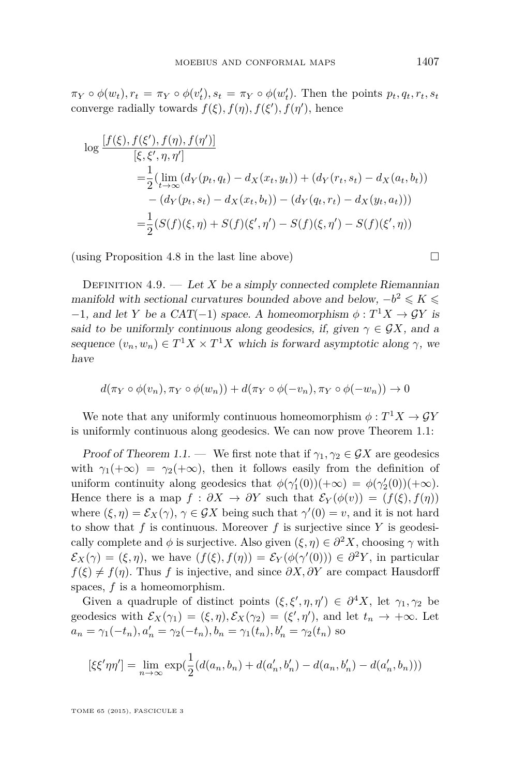$\pi_Y \circ \phi(w_t), r_t = \pi_Y \circ \phi(v'_t), s_t = \pi_Y \circ \phi(w'_t)$ . Then the points  $p_t, q_t, r_t, s_t$ converge radially towards  $f(\xi), f(\eta), f(\xi'), f(\eta')$ , hence

$$
\log \frac{[f(\xi), f(\xi'), f(\eta), f(\eta')]}{[\xi, \xi', \eta, \eta']} \n= \frac{1}{2} (\lim_{t \to \infty} (d_Y(p_t, q_t) - d_X(x_t, y_t)) + (d_Y(r_t, s_t) - d_X(a_t, b_t)) \n- (d_Y(p_t, s_t) - d_X(x_t, b_t)) - (d_Y(q_t, r_t) - d_X(y_t, a_t))) \n= \frac{1}{2} (S(f)(\xi, \eta) + S(f)(\xi', \eta') - S(f)(\xi, \eta') - S(f)(\xi', \eta))
$$

(using Proposition [4.8](#page-20-0) in the last line above)  $\Box$ 

DEFINITION  $4.9.$  — Let *X* be a simply connected complete Riemannian manifold with sectional curvatures bounded above and below,  $-b^2 \leqslant K \leqslant$  $-1$ , and let *Y* be a CAT(-1) space. A homeomorphism  $\phi : T^1 X \to \mathcal{G} Y$  is said to be uniformly continuous along geodesics, if, given  $\gamma \in \mathcal{G}X$ , and a sequence  $(v_n, w_n) \in T^1 X \times T^1 X$  which is forward asymptotic along  $\gamma$ , we have

$$
d(\pi_Y \circ \phi(v_n), \pi_Y \circ \phi(w_n)) + d(\pi_Y \circ \phi(-v_n), \pi_Y \circ \phi(-w_n)) \to 0
$$

We note that any uniformly continuous homeomorphism  $\phi: T^1 X \to \mathcal{G}Y$ is uniformly continuous along geodesics. We can now prove Theorem [1.1:](#page-3-0)

Proof of Theorem [1.1.](#page-3-0) — We first note that if  $\gamma_1, \gamma_2 \in \mathcal{G}X$  are geodesics with  $\gamma_1(+\infty) = \gamma_2(+\infty)$ , then it follows easily from the definition of uniform continuity along geodesics that  $\phi(\gamma_1'(0))(+\infty) = \phi(\gamma_2'(0))(+\infty)$ . Hence there is a map  $f : \partial X \to \partial Y$  such that  $\mathcal{E}_Y(\phi(v)) = (f(\xi), f(\eta))$ where  $(\xi, \eta) = \mathcal{E}_X(\gamma)$ ,  $\gamma \in \mathcal{G}X$  being such that  $\gamma'(0) = v$ , and it is not hard to show that  $f$  is continuous. Moreover  $f$  is surjective since  $Y$  is geodesically complete and  $\phi$  is surjective. Also given  $(\xi, \eta) \in \partial^2 X$ , choosing  $\gamma$  with  $\mathcal{E}_X(\gamma) = (\xi, \eta)$ , we have  $(f(\xi), f(\eta)) = \mathcal{E}_Y(\phi(\gamma'(0))) \in \partial^2 Y$ , in particular  $f(\xi) \neq f(\eta)$ . Thus *f* is injective, and since  $\partial X, \partial Y$  are compact Hausdorff spaces, *f* is a homeomorphism.

Given a quadruple of distinct points  $(\xi, \xi', \eta, \eta') \in \partial^4 X$ , let  $\gamma_1, \gamma_2$  be geodesics with  $\mathcal{E}_X(\gamma_1) = (\xi, \eta), \mathcal{E}_X(\gamma_2) = (\xi', \eta'),$  and let  $t_n \to +\infty$ . Let  $a_n = \gamma_1(-t_n), a'_n = \gamma_2(-t_n), b_n = \gamma_1(t_n), b'_n = \gamma_2(t_n)$  so

$$
[\xi\xi'\eta\eta'] = \lim_{n \to \infty} \exp(\frac{1}{2}(d(a_n, b_n) + d(a'_n, b'_n) - d(a_n, b'_n) - d(a'_n, b_n)))
$$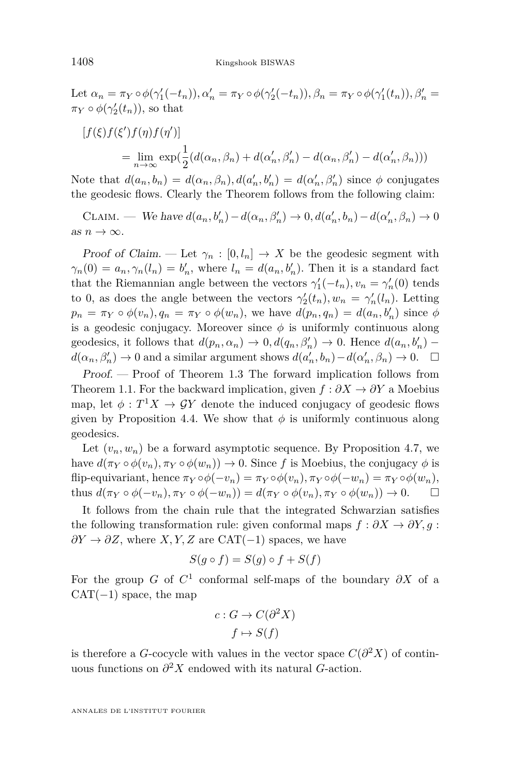Let  $\alpha_n = \pi_Y \circ \phi(\gamma_1'(-t_n)), \alpha_n' = \pi_Y \circ \phi(\gamma_2'(-t_n)), \beta_n = \pi_Y \circ \phi(\gamma_1'(t_n)), \beta_n' =$  $\pi_Y \circ \phi(\gamma_2'(t_n))$ , so that

$$
[f(\xi)f(\xi')f(\eta)f(\eta')]
$$
  
= 
$$
\lim_{n \to \infty} \exp(\frac{1}{2}(d(\alpha_n, \beta_n) + d(\alpha'_n, \beta'_n) - d(\alpha_n, \beta'_n) - d(\alpha'_n, \beta_n)))
$$

Note that  $d(a_n, b_n) = d(\alpha_n, \beta_n)$ ,  $d(a'_n, b'_n) = d(\alpha'_n, \beta'_n)$  since  $\phi$  conjugates the geodesic flows. Clearly the Theorem follows from the following claim:

CLAIM. — We have  $d(a_n, b'_n) - d(\alpha_n, \beta'_n) \to 0, d(a'_n, b_n) - d(\alpha'_n, \beta_n) \to 0$ as  $n \to \infty$ .

Proof of Claim. — Let  $\gamma_n : [0, l_n] \to X$  be the geodesic segment with  $\gamma_n(0) = a_n, \gamma_n(l_n) = b'_n$ , where  $l_n = d(a_n, b'_n)$ . Then it is a standard fact that the Riemannian angle between the vectors  $\gamma'_1(-t_n), v_n = \gamma'_n(0)$  tends to 0, as does the angle between the vectors  $\gamma_2'(t_n), w_n = \gamma_n'(l_n)$ . Letting  $p_n = \pi_Y \circ \phi(v_n), q_n = \pi_Y \circ \phi(w_n)$ , we have  $d(p_n, q_n) = d(a_n, b'_n)$  since  $\phi$ is a geodesic conjugacy. Moreover since  $\phi$  is uniformly continuous along geodesics, it follows that  $d(p_n, \alpha_n) \to 0, d(q_n, \beta'_n) \to 0$ . Hence  $d(a_n, b'_n)$  –  $d(\alpha_n, \beta'_n) \to 0$  and a similar argument shows  $d(a'_n, b_n) - d(\alpha'_n, \beta_n) \to 0$ .  $\Box$ 

Proof. — Proof of Theorem [1.3](#page-4-0) The forward implication follows from Theorem [1.1.](#page-3-0) For the backward implication, given *f* : *∂X* → *∂Y* a Moebius map, let  $\phi: T^1 X \to \mathcal{G} Y$  denote the induced conjugacy of geodesic flows given by Proposition [4.4.](#page-16-0) We show that  $\phi$  is uniformly continuous along geodesics.

Let  $(v_n, w_n)$  be a forward asymptotic sequence. By Proposition [4.7,](#page-17-0) we have  $d(\pi_Y \circ \phi(v_n), \pi_Y \circ \phi(w_n)) \to 0$ . Since f is Moebius, the conjugacy  $\phi$  is  $f$ flip-equivariant, hence  $\pi_Y \circ \phi(-v_n) = \pi_Y \circ \phi(v_n), \pi_Y \circ \phi(-w_n) = \pi_Y \circ \phi(w_n),$ thus  $d(\pi_Y \circ \phi(-v_n), \pi_Y \circ \phi(-w_n)) = d(\pi_Y \circ \phi(v_n), \pi_Y \circ \phi(w_n)) \to 0.$ 

It follows from the chain rule that the integrated Schwarzian satisfies the following transformation rule: given conformal maps  $f : \partial X \to \partial Y, g :$  $\partial Y \to \partial Z$ , where *X, Y, Z* are CAT(−1) spaces, we have

$$
S(g \circ f) = S(g) \circ f + S(f)
$$

For the group *G* of  $C^1$  conformal self-maps of the boundary  $\partial X$  of a  $CAT(-1)$  space, the map

$$
c: G \to C(\partial^2 X)
$$

$$
f \mapsto S(f)
$$

is therefore a *G*-cocycle with values in the vector space  $C(\partial^2 X)$  of continuous functions on *∂* <sup>2</sup>*X* endowed with its natural *G*-action.

ANNALES DE L'INSTITUT FOURIER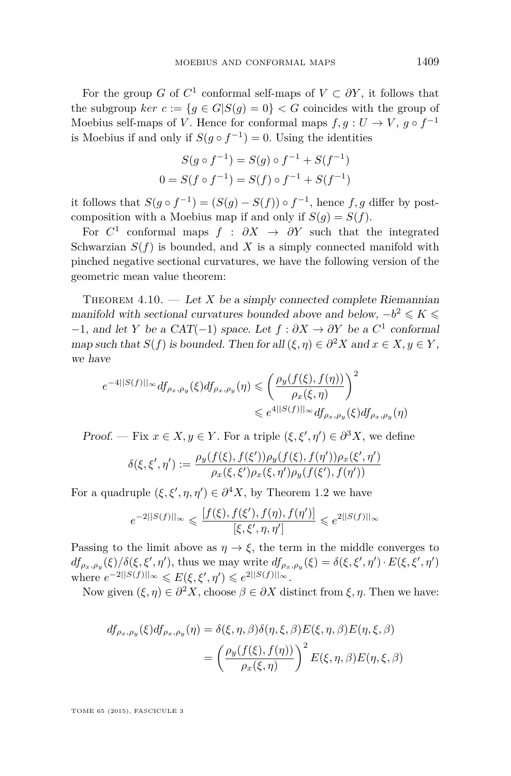<span id="page-23-0"></span>For the group *G* of  $C^1$  conformal self-maps of  $V \subset \partial Y$ , it follows that the subgroup  $\ker c := \{g \in G | S(g) = 0\} < G$  coincides with the group of Moebius self-maps of *V*. Hence for conformal maps  $f, g: U \to V, g \circ f^{-1}$ is Moebius if and only if  $S(g \circ f^{-1}) = 0$ . Using the identities

$$
S(g \circ f^{-1}) = S(g) \circ f^{-1} + S(f^{-1})
$$
  

$$
0 = S(f \circ f^{-1}) = S(f) \circ f^{-1} + S(f^{-1})
$$

it follows that  $S(g \circ f^{-1}) = (S(g) - S(f)) \circ f^{-1}$ , hence  $f, g$  differ by postcomposition with a Moebius map if and only if  $S(q) = S(f)$ .

For  $C^1$  conformal maps  $f : \partial X \to \partial Y$  such that the integrated Schwarzian  $S(f)$  is bounded, and X is a simply connected manifold with pinched negative sectional curvatures, we have the following version of the geometric mean value theorem:

THEOREM  $4.10.$  — Let *X* be a simply connected complete Riemannian manifold with sectional curvatures bounded above and below,  $-b^2 \leq K \leq$  $-1$ , and let *Y* be a CAT(−1) space. Let  $f : ∂X \to ∂Y$  be a  $C^1$  conformal map such that *S*(*f*) is bounded. Then for all  $(\xi, \eta) \in \partial^2 X$  and  $x \in X, y \in Y$ , we have

$$
e^{-4||S(f)||_{\infty}} df_{\rho_x, \rho_y}(\xi) df_{\rho_x, \rho_y}(\eta) \leqslant \left(\frac{\rho_y(f(\xi), f(\eta))}{\rho_x(\xi, \eta)}\right)^2
$$
  

$$
\leqslant e^{4||S(f)||_{\infty}} df_{\rho_x, \rho_y}(\xi) df_{\rho_x, \rho_y}(\eta)
$$

Proof. — Fix  $x \in X, y \in Y$ . For a triple  $(\xi, \xi', \eta') \in \partial^3 X$ , we define

$$
\delta(\xi, \xi', \eta') := \frac{\rho_y(f(\xi), f(\xi')) \rho_y(f(\xi), f(\eta')) \rho_x(\xi', \eta')}{\rho_x(\xi, \xi') \rho_x(\xi, \eta') \rho_y(f(\xi'), f(\eta'))}
$$

For a quadruple  $(\xi, \xi', \eta, \eta') \in \partial^4 X$ , by Theorem [1.2](#page-4-0) we have

$$
e^{-2||S(f)||_{\infty}} \leq \frac{[f(\xi), f(\xi'), f(\eta), f(\eta')]}{[\xi, \xi', \eta, \eta']} \leq e^{2||S(f)||_{\infty}}
$$

Passing to the limit above as  $\eta \to \xi$ , the term in the middle converges to  $df_{\rho_x,\rho_y}(\xi)/\delta(\xi,\xi',\eta')$ , thus we may write  $df_{\rho_x,\rho_y}(\xi) = \delta(\xi,\xi',\eta') \cdot E(\xi,\xi',\eta')$  $\text{where } e^{-2||S(f)||_{\infty}} \leqslant E(\xi, \xi', \eta') \leqslant e^{2||S(f)||_{\infty}}.$ 

Now given  $(\xi, \eta) \in \partial^2 X$ , choose  $\beta \in \partial X$  distinct from  $\xi, \eta$ . Then we have:

$$
df_{\rho_x,\rho_y}(\xi)df_{\rho_x,\rho_y}(\eta) = \delta(\xi,\eta,\beta)\delta(\eta,\xi,\beta)E(\xi,\eta,\beta)E(\eta,\xi,\beta)
$$

$$
= \left(\frac{\rho_y(f(\xi),f(\eta))}{\rho_x(\xi,\eta)}\right)^2 E(\xi,\eta,\beta)E(\eta,\xi,\beta)
$$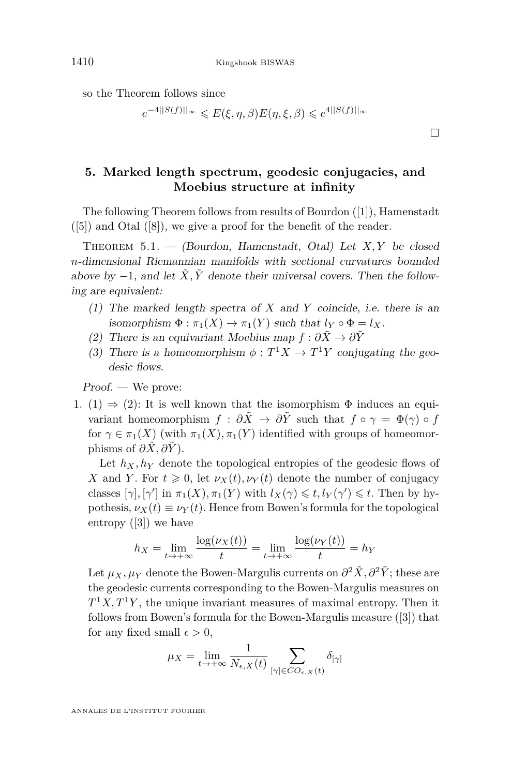so the Theorem follows since

$$
e^{-4||S(f)||_{\infty}} \leqslant E(\xi, \eta, \beta)E(\eta, \xi, \beta) \leqslant e^{4||S(f)||_{\infty}}
$$

**5. Marked length spectrum, geodesic conjugacies, and Moebius structure at infinity**

The following Theorem follows from results of Bourdon ([\[1\]](#page-36-0)), Hamenstadt  $([5])$  $([5])$  $([5])$  and Otal  $([8])$  $([8])$  $([8])$ , we give a proof for the benefit of the reader.

Theorem 5.1. — (Bourdon, Hamenstadt, Otal) Let *X, Y* be closed *n*-dimensional Riemannian manifolds with sectional curvatures bounded above by  $-1$ , and let  $\tilde{X}, \tilde{Y}$  denote their universal covers. Then the following are equivalent:

- (1) The marked length spectra of *X* and *Y* coincide, i.e. there is an isomorphism  $\Phi : \pi_1(X) \to \pi_1(Y)$  such that  $l_Y \circ \Phi = l_X$ .
- (2) There is an equivariant Moebius map  $f : \partial \tilde{X} \to \partial \tilde{Y}$
- (3) There is a homeomorphism  $\phi : T^1 X \to T^1 Y$  conjugating the geodesic flows.

Proof. — We prove:

1. (1)  $\Rightarrow$  (2): It is well known that the isomorphism  $\Phi$  induces an equivariant homeomorphism  $f : \partial \tilde{X} \to \partial \tilde{Y}$  such that  $f \circ \gamma = \Phi(\gamma) \circ f$ for  $\gamma \in \pi_1(X)$  (with  $\pi_1(X), \pi_1(Y)$  identified with groups of homeomorphisms of  $\partial \tilde{X}, \partial \tilde{Y}$ .

Let  $h_X, h_Y$  denote the topological entropies of the geodesic flows of *X* and *Y*. For  $t \ge 0$ , let  $\nu_X(t), \nu_Y(t)$  denote the number of conjugacy classes  $[\gamma], [\gamma']$  in  $\pi_1(X), \pi_1(Y)$  with  $l_X(\gamma) \leq t, l_Y(\gamma') \leq t$ . Then by hypothesis,  $\nu_X(t) \equiv \nu_Y(t)$ . Hence from Bowen's formula for the topological entropy ([\[3\]](#page-36-0)) we have

$$
h_X = \lim_{t \to +\infty} \frac{\log(\nu_X(t))}{t} = \lim_{t \to +\infty} \frac{\log(\nu_Y(t))}{t} = h_Y
$$

Let  $\mu_X, \mu_Y$  denote the Bowen-Margulis currents on  $\partial^2 \tilde{X}, \partial^2 \tilde{Y}$ ; these are the geodesic currents corresponding to the Bowen-Margulis measures on  $T^1X, T^1Y$ , the unique invariant measures of maximal entropy. Then it follows from Bowen's formula for the Bowen-Margulis measure ([\[3\]](#page-36-0)) that for any fixed small  $\epsilon > 0$ ,

$$
\mu_X = \lim_{t \to +\infty} \frac{1}{N_{\epsilon,X}(t)} \sum_{[\gamma] \in CO_{\epsilon,X}(t)} \delta_{[\gamma]}
$$

ANNALES DE L'INSTITUT FOURIER

 $\Box$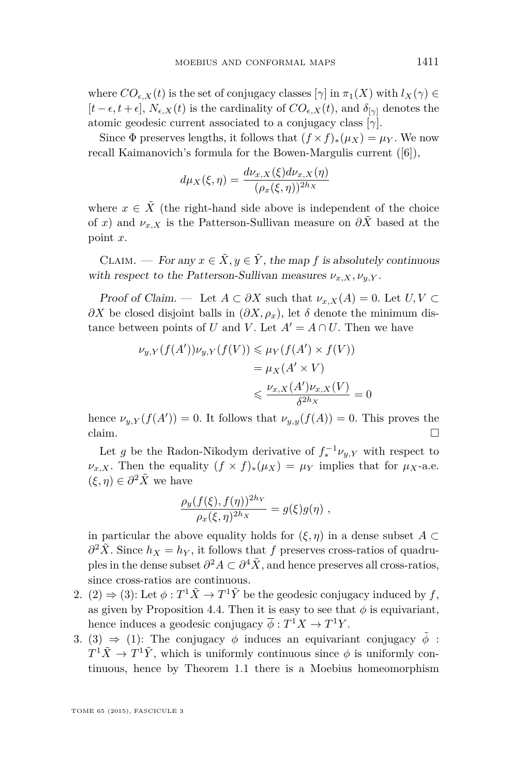where  $CO_{\epsilon,X}(t)$  is the set of conjugacy classes  $[\gamma]$  in  $\pi_1(X)$  with  $l_X(\gamma) \in$  $[t - \epsilon, t + \epsilon]$ ,  $N_{\epsilon, X}(t)$  is the cardinality of  $CO_{\epsilon, X}(t)$ , and  $\delta_{[\gamma]}$  denotes the atomic geodesic current associated to a conjugacy class [*γ*].

Since  $\Phi$  preserves lengths, it follows that  $(f \times f)_*(\mu_X) = \mu_Y$ . We now recall Kaimanovich's formula for the Bowen-Margulis current ([\[6\]](#page-36-0)),

$$
d\mu_X(\xi,\eta) = \frac{d\nu_{x,X}(\xi)d\nu_{x,X}(\eta)}{(\rho_x(\xi,\eta))^{2h_X}}
$$

where  $x \in \tilde{X}$  (the right-hand side above is independent of the choice of *x*) and  $\nu_{x,X}$  is the Patterson-Sullivan measure on  $\partial \tilde{X}$  based at the point *x*.

CLAIM. — For any  $x \in \tilde{X}, y \in \tilde{Y}$ , the map f is absolutely continuous with respect to the Patterson-Sullivan measures  $\nu_{x,X}, \nu_{y,Y}$ .

Proof of Claim. — Let  $A \subset \partial X$  such that  $\nu_{x,X}(A) = 0$ . Let  $U, V \subset$  $∂X$  be closed disjoint balls in  $(∂X, ρ<sub>x</sub>)$ , let  $δ$  denote the minimum distance between points of *U* and *V*. Let  $A' = A \cap U$ . Then we have

$$
\nu_{y,Y}(f(A'))\nu_{y,Y}(f(V)) \leq \mu_Y(f(A') \times f(V))
$$
  
=  $\mu_X(A' \times V)$   

$$
\leq \frac{\nu_{x,X}(A')\nu_{x,X}(V)}{\delta^{2h_X}} = 0
$$

hence  $\nu_{y,Y}(f(A')) = 0$ . It follows that  $\nu_{y,y}(f(A)) = 0$ . This proves the claim.  $\Box$ 

Let *g* be the Radon-Nikodym derivative of  $f_*^{-1} \nu_{y,Y}$  with respect to  $\nu_{x,X}$ . Then the equality  $(f \times f)_*(\mu_X) = \mu_Y$  implies that for  $\mu_X$ -a.e.  $(\xi, \eta) \in \partial^2 \tilde{X}$  we have

$$
\frac{\rho_y(f(\xi), f(\eta))^{2h_Y}}{\rho_x(\xi, \eta)^{2h_X}} = g(\xi)g(\eta) ,
$$

in particular the above equality holds for  $(\xi, \eta)$  in a dense subset *A* ⊂  $\partial^2 \tilde{X}$ . Since  $h_X = h_Y$ , it follows that *f* preserves cross-ratios of quadruples in the dense subset  $\partial^2 A \subset \partial^4 \tilde{X}$ , and hence preserves all cross-ratios, since cross-ratios are continuous.

- 2.  $(2) \Rightarrow (3)$ : Let  $\phi: T^1 \tilde{X} \to T^1 \tilde{Y}$  be the geodesic conjugacy induced by  $f$ , as given by Proposition [4.4.](#page-16-0) Then it is easy to see that  $\phi$  is equivariant, hence induces a geodesic conjugacy  $\overline{\phi}: T^1 X \to T^1 Y$ .
- 3. (3)  $\Rightarrow$  (1): The conjugacy  $\phi$  induces an equivariant conjugacy  $\tilde{\phi}$ :  $T^1\tilde{X} \to T^1\tilde{Y}$ , which is uniformly continuous since  $\phi$  is uniformly continuous, hence by Theorem [1.1](#page-3-0) there is a Moebius homeomorphism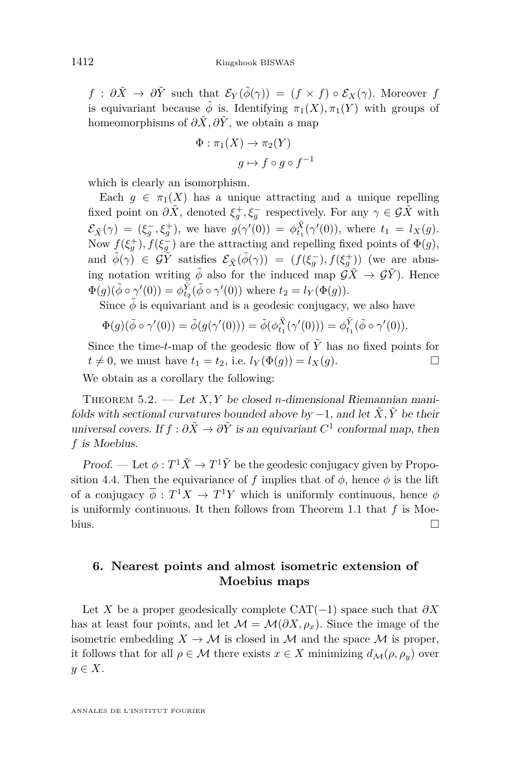*f* :  $\partial \tilde{X} \rightarrow \partial \tilde{Y}$  such that  $\mathcal{E}_Y(\tilde{\phi}(\gamma)) = (f \times f) \circ \mathcal{E}_X(\gamma)$ . Moreover *f* is equivariant because  $\tilde{\phi}$  is. Identifying  $\pi_1(X), \pi_1(Y)$  with groups of homeomorphisms of  $\partial \tilde{X}, \partial \tilde{Y}$ , we obtain a map

$$
\Phi : \pi_1(X) \to \pi_2(Y)
$$

$$
g \mapsto f \circ g \circ f^{-1}
$$

which is clearly an isomorphism.

Each  $g \in \pi_1(X)$  has a unique attracting and a unique repelling fixed point on  $\partial \tilde{X}$ , denoted  $\xi_g^+, \xi_g^-$  respectively. For any  $\gamma \in \mathcal{G}\tilde{X}$  with  $\mathcal{E}_{\tilde{X}}(\gamma) = (\xi_g^-, \xi_g^+)$ , we have  $g(\gamma'(0)) = \phi_{t_1}^{\tilde{X}}(\gamma'(0))$ , where  $t_1 = l_X(g)$ . Now  $f(\xi_g^+), f(\xi_g^-)$  are the attracting and repelling fixed points of  $\Phi(g)$ , and  $\tilde{\phi}(\gamma) \in \tilde{\mathcal{G}Y}$  satisfies  $\mathcal{E}_{\tilde{X}}(\tilde{\phi}(\gamma)) = (f(\xi_g^-), f(\xi_g^+))$  (we are abusing notation writing  $\tilde{\phi}$  also for the induced map  $\mathcal{G}\tilde{X} \to \mathcal{G}\tilde{Y}$ ). Hence  $\Phi(g)(\tilde{\phi} \circ \gamma'(0)) = \phi_{t_2}^{\tilde{Y}}(\tilde{\phi} \circ \gamma'(0))$  where  $t_2 = l_Y(\Phi(g)).$ 

Since  $\tilde{\phi}$  is equivariant and is a geodesic conjugacy, we also have

$$
\Phi(g)(\tilde{\phi}\circ\gamma'(0))=\tilde{\phi}(g(\gamma'(0)))=\tilde{\phi}(\phi_{t_1}^{\tilde{X}}(\gamma'(0)))=\phi_{t_1}^{\tilde{Y}}(\tilde{\phi}\circ\gamma'(0)).
$$

Since the time-*t*-map of the geodesic flow of  $\tilde{Y}$  has no fixed points for  $t \neq 0$ , we must have  $t_1 = t_2$ , i.e.  $l_Y(\Phi(g)) = l_X(g)$ . We obtain as a corollary the following:

THEOREM 5.2. — Let *X*, *Y* be closed *n*-dimensional Riemannian manifolds with sectional curvatures bounded above by  $-1$ , and let  $\tilde{X}, \tilde{Y}$  be their universal covers. If  $f : \partial \tilde{X} \to \partial \tilde{Y}$  is an equivariant  $C^1$  conformal map, then *f* is Moebius.

Proof. — Let  $\phi: T^1\tilde{X} \to T^1\tilde{Y}$  be the geodesic conjugacy given by Propo-sition [4.4.](#page-16-0) Then the equivariance of *f* implies that of  $\phi$ , hence  $\phi$  is the lift of a conjugacy  $\overline{\phi}: T^1X \to T^1Y$  which is uniformly continuous, hence  $\phi$ is uniformly continuous. It then follows from Theorem [1.1](#page-3-0) that *f* is Moebius.  $\Box$ 

#### **6. Nearest points and almost isometric extension of Moebius maps**

Let *X* be a proper geodesically complete CAT(−1) space such that  $\partial X$ has at least four points, and let  $\mathcal{M} = \mathcal{M}(\partial X, \rho_x)$ . Since the image of the isometric embedding  $X \to M$  is closed in M and the space M is proper, it follows that for all  $\rho \in \mathcal{M}$  there exists  $x \in X$  minimizing  $d_{\mathcal{M}}(\rho, \rho_y)$  over *y* ∈ *X*.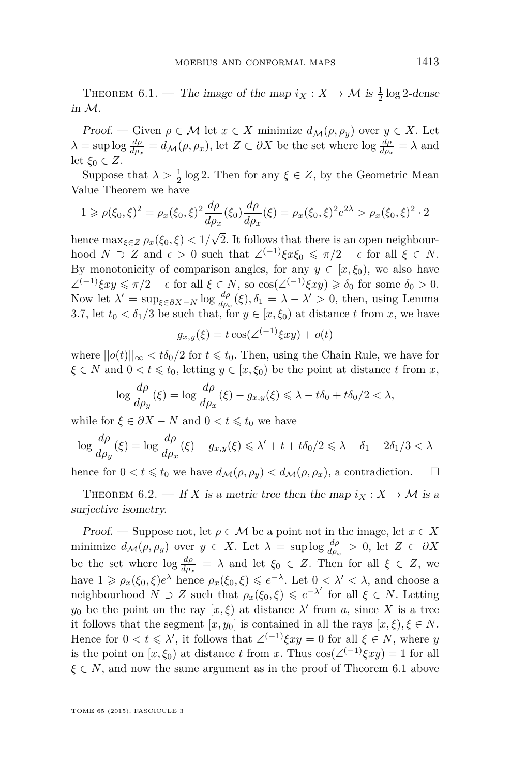<span id="page-27-0"></span>THEOREM 6.1. — The image of the map  $i_X : X \to M$  is  $\frac{1}{2} \log 2$ -dense in M.

Proof. — Given  $\rho \in \mathcal{M}$  let  $x \in X$  minimize  $d_{\mathcal{M}}(\rho, \rho_y)$  over  $y \in X$ . Let  $\lambda = \sup \log \frac{d\rho}{d\rho_x} = d_{\mathcal{M}}(\rho, \rho_x)$ , let  $Z \subset \partial X$  be the set where  $\log \frac{d\rho}{d\rho_x} = \lambda$  and let  $\xi_0 \in Z$ .

Suppose that  $\lambda > \frac{1}{2} \log 2$ . Then for any  $\xi \in Z$ , by the Geometric Mean Value Theorem we have

$$
1 \ge \rho(\xi_0, \xi)^2 = \rho_x(\xi_0, \xi)^2 \frac{d\rho}{d\rho_x}(\xi_0) \frac{d\rho}{d\rho_x}(\xi) = \rho_x(\xi_0, \xi)^2 e^{2\lambda} > \rho_x(\xi_0, \xi)^2 \cdot 2
$$

hence  $\max_{\xi \in Z} \rho_x(\xi_0, \xi) < 1/$ 2. It follows that there is an open neighbourhood  $N \supset Z$  and  $\epsilon > 0$  such that  $\angle^{(-1)} \xi x \xi_0 \leq \pi/2 - \epsilon$  for all  $\xi \in N$ . By monotonicity of comparison angles, for any  $y \in [x, \xi_0)$ , we also have  $\angle^{(-1)}\xi xy \leq \pi/2 - \epsilon$  for all  $\xi \in N$ , so  $\cos(\angle^{(-1)}\xi xy) \geq \delta_0$  for some  $\delta_0 > 0$ . Now let  $\lambda' = \sup_{\xi \in \partial X - N} \log \frac{d\rho}{d\rho_x}(\xi), \delta_1 = \lambda - \lambda' > 0$ , then, using Lemma [3.7,](#page-13-0) let  $t_0 < \delta_1/3$  be such that, for  $y \in [x, \xi_0)$  at distance *t* from *x*, we have

$$
g_{x,y}(\xi) = t \cos(\angle^{(-1)} \xi xy) + o(t)
$$

where  $||o(t)||_{\infty} < t\delta_0/2$  for  $t \leq t_0$ . Then, using the Chain Rule, we have for  $\xi \in N$  and  $0 < t \leq t_0$ , letting  $y \in [x, \xi_0)$  be the point at distance *t* from *x*,

$$
\log \frac{d\rho}{d\rho_y}(\xi) = \log \frac{d\rho}{d\rho_x}(\xi) - g_{x,y}(\xi) \le \lambda - t\delta_0 + t\delta_0/2 < \lambda,
$$

while for  $\xi \in \partial X - N$  and  $0 < t \leq t_0$  we have

$$
\log \frac{d\rho}{d\rho_y}(\xi) = \log \frac{d\rho}{d\rho_x}(\xi) - g_{x,y}(\xi) \le \lambda' + t + t\delta_0/2 \le \lambda - \delta_1 + 2\delta_1/3 < \lambda
$$

hence for  $0 < t \leq t_0$  we have  $d_M(\rho, \rho_v) < d_M(\rho, \rho_x)$ , a contradiction.

THEOREM 6.2. — If *X* is a metric tree then the map  $i_X : X \to M$  is a surjective isometry.

Proof. — Suppose not, let  $\rho \in \mathcal{M}$  be a point not in the image, let  $x \in X$ minimize  $d_{\mathcal{M}}(\rho, \rho_y)$  over  $y \in X$ . Let  $\lambda = \sup \log \frac{d\rho}{d\rho_x} > 0$ , let  $Z \subset \partial X$ be the set where  $\log \frac{d\rho}{d\rho_x} = \lambda$  and let  $\xi_0 \in Z$ . Then for all  $\xi \in Z$ , we have  $1 \ge \rho_x(\xi_0, \xi) e^{\lambda}$  hence  $\rho_x(\xi_0, \xi) \le e^{-\lambda}$ . Let  $0 < \lambda' < \lambda$ , and choose a neighbourhood  $N \supset Z$  such that  $\rho_x(\xi_0, \xi) \leqslant e^{-\lambda'}$  for all  $\xi \in N$ . Letting *y*<sub>0</sub> be the point on the ray  $[x, \xi)$  at distance  $\lambda'$  from *a*, since *X* is a tree it follows that the segment  $[x, y_0]$  is contained in all the rays  $[x, \xi), \xi \in N$ . Hence for  $0 < t \le \lambda'$ , it follows that  $\angle^{(-1)} \xi xy = 0$  for all  $\xi \in N$ , where *y* is the point on  $[x, \xi_0)$  at distance *t* from *x*. Thus  $\cos(\angle^{(-1)}\xi xy) = 1$  for all  $\xi \in N$ , and now the same argument as in the proof of Theorem 6.1 above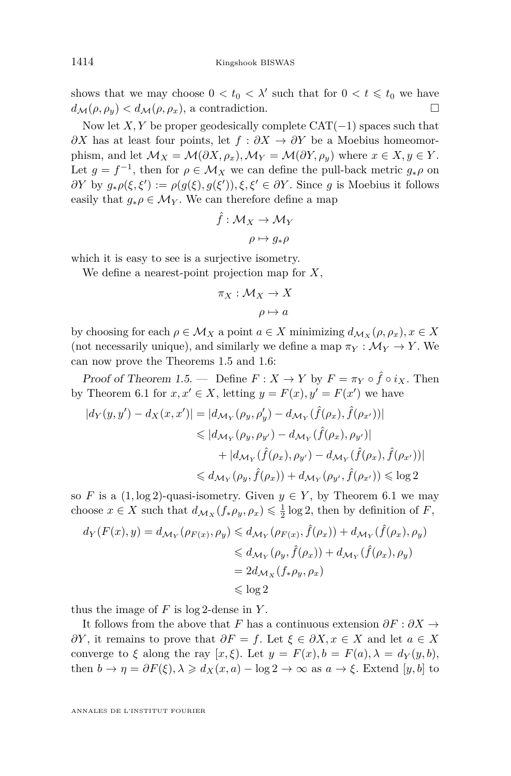shows that we may choose  $0 < t_0 < \lambda'$  such that for  $0 < t \leq t_0$  we have  $d_{\mathcal{M}}(\rho, \rho_y) < d_{\mathcal{M}}(\rho, \rho_x)$ , a contradiction.

Now let *X, Y* be proper geodesically complete CAT(−1) spaces such that *∂X* has at least four points, let  $f : ∂X \to ∂Y$  be a Moebius homeomorphism, and let  $\mathcal{M}_X = \mathcal{M}(\partial X, \rho_x), \mathcal{M}_Y = \mathcal{M}(\partial Y, \rho_y)$  where  $x \in X, y \in Y$ . Let  $g = f^{-1}$ , then for  $\rho \in \mathcal{M}_X$  we can define the pull-back metric  $g_*\rho$  on *∂Y* by  $g_*\rho(\xi, \xi') := \rho(g(\xi), g(\xi'))$ , ξ, ξ' ∈ *∂Y*. Since *g* is Moebius it follows easily that  $g_*\rho \in \mathcal{M}_Y$ . We can therefore define a map

$$
\hat{f} : \mathcal{M}_X \to \mathcal{M}_Y
$$

$$
\rho \mapsto g_*\rho
$$

which it is easy to see is a surjective isometry.

We define a nearest-point projection map for *X*,

$$
\pi_X : \mathcal{M}_X \to X
$$

$$
\rho \mapsto a
$$

by choosing for each  $\rho \in \mathcal{M}_X$  a point  $a \in X$  minimizing  $d_{\mathcal{M}_X}(\rho, \rho_x), x \in X$ (not necessarily unique), and similarly we define a map  $\pi_Y : \mathcal{M}_Y \to Y$ . We can now prove the Theorems [1.5](#page-4-0) and [1.6:](#page-5-0)

Proof of Theorem [1.5.](#page-4-0) — Define  $F: X \to Y$  by  $F = \pi_Y \circ \hat{f} \circ i_X$ . Then by Theorem [6.1](#page-27-0) for  $x, x' \in X$ , letting  $y = F(x), y' = F(x')$  we have

$$
|d_Y(y, y') - d_X(x, x')| = |d_{\mathcal{M}_Y}(\rho_y, \rho_y') - d_{\mathcal{M}_Y}(\hat{f}(\rho_x), \hat{f}(\rho_{x'}))|
$$
  
\n
$$
\leq |d_{\mathcal{M}_Y}(\rho_y, \rho_{y'}) - d_{\mathcal{M}_Y}(\hat{f}(\rho_x), \rho_{y'})|
$$
  
\n
$$
+ |d_{\mathcal{M}_Y}(\hat{f}(\rho_x), \rho_{y'}) - d_{\mathcal{M}_Y}(\hat{f}(\rho_x), \hat{f}(\rho_{x'}))|
$$
  
\n
$$
\leq d_{\mathcal{M}_Y}(\rho_y, \hat{f}(\rho_x)) + d_{\mathcal{M}_Y}(\rho_{y'}, \hat{f}(\rho_{x'})) \leq \log 2
$$

so *F* is a  $(1, \log 2)$ -quasi-isometry. Given  $y \in Y$ , by Theorem [6.1](#page-27-0) we may choose  $x \in X$  such that  $d_{\mathcal{M}_X}(f_*\rho_y, \rho_x) \leq \frac{1}{2}\log 2$ , then by definition of *F*,

$$
d_Y(F(x), y) = d_{\mathcal{M}_Y}(\rho_{F(x)}, \rho_y) \le d_{\mathcal{M}_Y}(\rho_{F(x)}, \hat{f}(\rho_x)) + d_{\mathcal{M}_Y}(\hat{f}(\rho_x), \rho_y)
$$
  

$$
\le d_{\mathcal{M}_Y}(\rho_y, \hat{f}(\rho_x)) + d_{\mathcal{M}_Y}(\hat{f}(\rho_x), \rho_y)
$$
  

$$
= 2d_{\mathcal{M}_X}(f_*\rho_y, \rho_x)
$$
  

$$
\le \log 2
$$

thus the image of *F* is log 2-dense in *Y* .

It follows from the above that *F* has a continuous extension  $\partial F : \partial X \to$ *∂Y*, it remains to prove that  $\partial F = f$ . Let  $\xi \in \partial X, x \in X$  and let  $a \in X$ converge to *ξ* along the ray  $[x, \xi)$ . Let  $y = F(x), b = F(a), \lambda = d_Y(y, b)$ , then  $b \to \eta = \partial F(\xi), \lambda \geq d_X(x, a) - \log 2 \to \infty$  as  $a \to \xi$ . Extend [y, b] to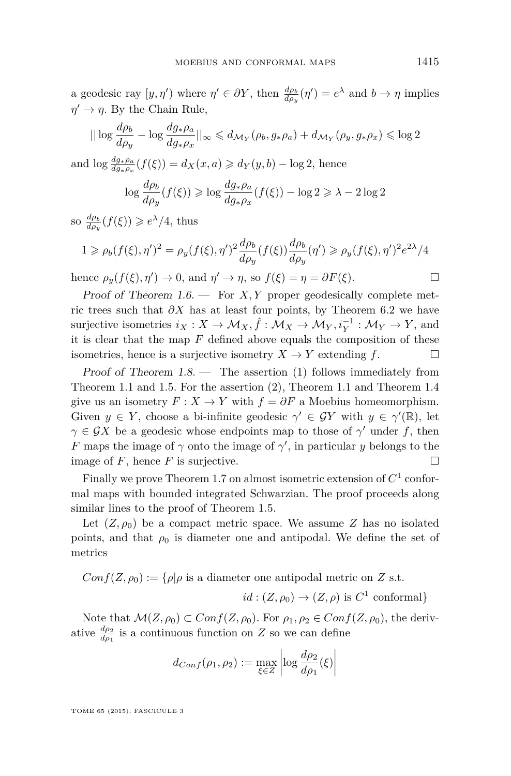a geodesic ray  $[y, \eta')$  where  $\eta' \in \partial Y$ , then  $\frac{d\rho_b}{d\rho_y}(\eta') = e^{\lambda}$  and  $b \to \eta$  implies  $\eta' \to \eta$ . By the Chain Rule,

$$
||\log \frac{d\rho_b}{d\rho_y} - \log \frac{dg_*\rho_a}{dg_*\rho_x}||_{\infty} \le d_{\mathcal{M}_Y}(\rho_b, g_*\rho_a) + d_{\mathcal{M}_Y}(\rho_y, g_*\rho_x) \le \log 2
$$

and  $\log \frac{dg_* \rho_a}{dg_* \rho_x}(f(\xi)) = d_X(x, a) \geq d_Y(y, b) - \log 2$ , hence

$$
\log \frac{d\rho_b}{d\rho_y}(f(\xi)) \geqslant \log \frac{dg_*\rho_a}{dg_*\rho_x}(f(\xi)) - \log 2 \geqslant \lambda - 2\log 2
$$

so  $\frac{d\rho_b}{d\rho_y}(f(\xi)) \geqslant e^{\lambda}/4$ , thus

$$
1 \ge \rho_b(f(\xi), \eta')^2 = \rho_y(f(\xi), \eta')^2 \frac{d\rho_b}{d\rho_y}(f(\xi)) \frac{d\rho_b}{d\rho_y}(\eta') \ge \rho_y(f(\xi), \eta')^2 e^{2\lambda}/4
$$

hence  $\rho_y(f(\xi), \eta') \to 0$ , and  $\eta' \to \eta$ , so  $f(\xi) = \eta = \partial F(\xi)$ .

Proof of Theorem [1.6.](#page-5-0) — For *X, Y* proper geodesically complete metric trees such that  $\partial X$  has at least four points, by Theorem [6.2](#page-27-0) we have surjective isometries  $i_X: X \to \mathcal{M}_X, \hat{f}: \mathcal{M}_X \to \mathcal{M}_Y, i_Y^{-1}: \mathcal{M}_Y \to Y$ , and it is clear that the map *F* defined above equals the composition of these isometries, hence is a surjective isometry  $X \to Y$  extending  $f$ .

Proof of Theorem  $1.8$  — The assertion (1) follows immediately from Theorem [1.1](#page-3-0) and [1.5.](#page-4-0) For the assertion (2), Theorem [1.1](#page-3-0) and Theorem [1.4](#page-4-0) give us an isometry  $F: X \to Y$  with  $f = \partial F$  a Moebius homeomorphism. Given  $y \in Y$ , choose a bi-infinite geodesic  $\gamma' \in \mathcal{G}Y$  with  $y \in \gamma'(\mathbb{R})$ , let  $\gamma \in \mathcal{G}X$  be a geodesic whose endpoints map to those of  $\gamma'$  under *f*, then *F* maps the image of  $\gamma$  onto the image of  $\gamma'$ , in particular *y* belongs to the image of  $F$ , hence  $F$  is surjective.

Finally we prove Theorem [1.7](#page-5-0) on almost isometric extension of  $C^1$  conformal maps with bounded integrated Schwarzian. The proof proceeds along similar lines to the proof of Theorem [1.5.](#page-4-0)

Let  $(Z, \rho_0)$  be a compact metric space. We assume *Z* has no isolated points, and that  $\rho_0$  is diameter one and antipodal. We define the set of metrics

$$
Conf(Z, \rho_0) := \{ \rho | \rho \text{ is a diameter one antipodal metric on } Z \text{ s.t.}
$$
  

$$
id : (Z, \rho_0) \to (Z, \rho) \text{ is } C^1 \text{ conformal} \}
$$

Note that  $\mathcal{M}(Z,\rho_0) \subset Conf(Z,\rho_0)$ . For  $\rho_1, \rho_2 \in Conf(Z,\rho_0)$ , the derivative  $\frac{d\rho_2}{d\rho_1}$  is a continuous function on *Z* so we can define

$$
d_{Conf}(\rho_1, \rho_2) := \max_{\xi \in Z} \left| \log \frac{d\rho_2}{d\rho_1}(\xi) \right|
$$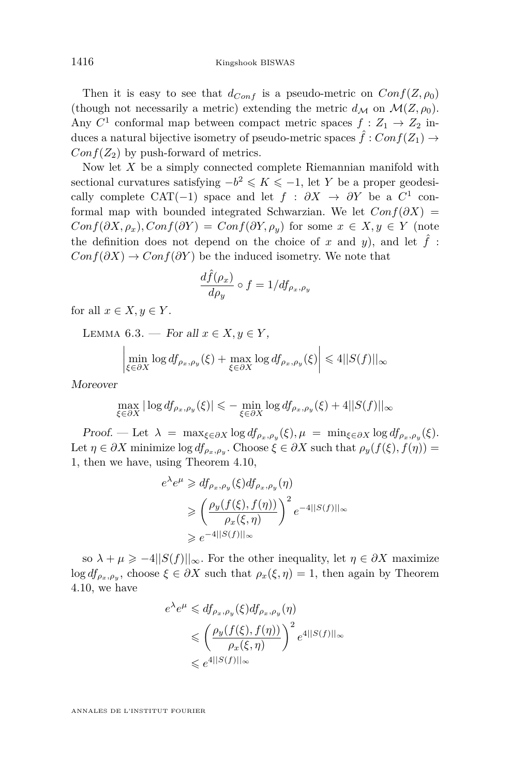<span id="page-30-0"></span>Then it is easy to see that  $d_{Conf}$  is a pseudo-metric on  $Conf(Z, \rho_0)$ (though not necessarily a metric) extending the metric  $d_M$  on  $\mathcal{M}(Z, \rho_0)$ . Any  $C^1$  conformal map between compact metric spaces  $f: Z_1 \to Z_2$  induces a natural bijective isometry of pseudo-metric spaces  $\hat{f}: Conf(Z_1) \rightarrow$  $Conf(Z_2)$  by push-forward of metrics.

Now let *X* be a simply connected complete Riemannian manifold with sectional curvatures satisfying  $-b^2 \leq K \leq -1$ , let *Y* be a proper geodesically complete CAT(-1) space and let  $f : \partial X \to \partial Y$  be a  $C^1$  conformal map with bounded integrated Schwarzian. We let  $Conf(\partial X)$  =  $Conf(\partial X, \rho_x), Conf(\partial Y) = Conf(\partial Y, \rho_y)$  for some  $x \in X, y \in Y$  (note the definition does not depend on the choice of *x* and *y*), and let  $\hat{f}$ :  $Conf(\partial X) \to Conf(\partial Y)$  be the induced isometry. We note that

$$
\frac{d\hat{f}(\rho_x)}{d\rho_y} \circ f = 1/df_{\rho_x,\rho_y}
$$

for all  $x \in X, y \in Y$ .

LEMMA 6.3. — For all  $x \in X, y \in Y$ ,

$$
\left|\min_{\xi \in \partial X} \log d f_{\rho_x, \rho_y}(\xi) + \max_{\xi \in \partial X} \log d f_{\rho_x, \rho_y}(\xi)\right| \leq 4||S(f)||_{\infty}
$$

Moreover

$$
\max_{\xi \in \partial X} |\log d f_{\rho_x, \rho_y}(\xi)| \leq - \min_{\xi \in \partial X} \log d f_{\rho_x, \rho_y}(\xi) + 4||S(f)||_{\infty}
$$

 $Proof.$  — Let  $\lambda = \max_{\xi \in \partial X} \log d f_{\rho_x, \rho_y}(\xi), \mu = \min_{\xi \in \partial X} \log d f_{\rho_x, \rho_y}(\xi).$ Let  $\eta \in \partial X$  minimize  $\log df_{\rho_x, \rho_y}$ . Choose  $\xi \in \partial X$  such that  $\rho_y(f(\xi), f(\eta)) =$ 1, then we have, using Theorem [4.10,](#page-23-0)

$$
e^{\lambda}e^{\mu} \geq df_{\rho_x,\rho_y}(\xi)df_{\rho_x,\rho_y}(\eta)
$$
  
\n
$$
\geq \left(\frac{\rho_y(f(\xi),f(\eta))}{\rho_x(\xi,\eta)}\right)^2 e^{-4||S(f)||_{\infty}}
$$
  
\n
$$
\geq e^{-4||S(f)||_{\infty}}
$$

so  $\lambda + \mu \geq -4||S(f)||_{\infty}$ . For the other inequality, let  $\eta \in \partial X$  maximize  $\log df_{\rho_x, \rho_y}$ , choose  $\xi \in \partial X$  such that  $\rho_x(\xi, \eta) = 1$ , then again by Theorem [4.10,](#page-23-0) we have

$$
e^{\lambda}e^{\mu} \leq d f_{\rho_x,\rho_y}(\xi) d f_{\rho_x,\rho_y}(\eta)
$$
  

$$
\leq \left(\frac{\rho_y(f(\xi), f(\eta))}{\rho_x(\xi, \eta)}\right)^2 e^{4||S(f)||_{\infty}}
$$
  

$$
\leq e^{4||S(f)||_{\infty}}
$$

ANNALES DE L'INSTITUT FOURIER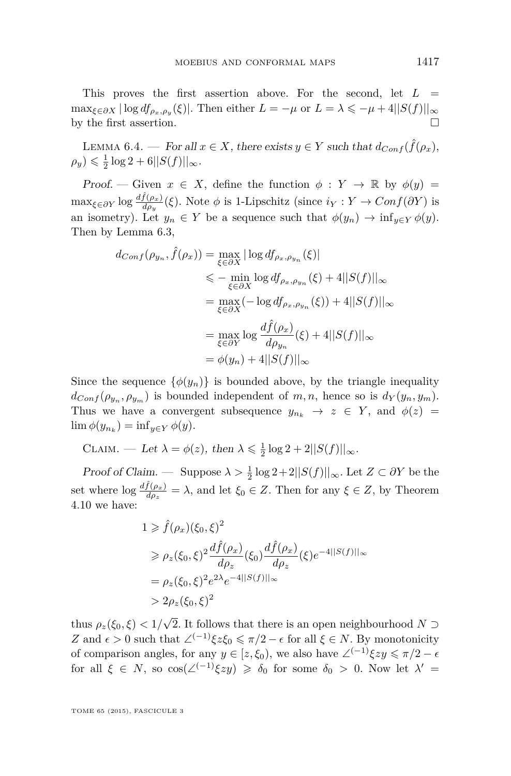<span id="page-31-0"></span>This proves the first assertion above. For the second, let  $L =$  $\max_{\xi \in \partial X} |\log d f_{\rho_x, \rho_y}(\xi)|$ . Then either  $L = -\mu$  or  $L = \lambda \leq -\mu + 4||S(f)||_{\infty}$ by the first assertion.  $\Box$ 

LEMMA 6.4. — For all  $x \in X$ , there exists  $y \in Y$  such that  $d_{Conf}(\hat{f}(\rho_x))$ ,  $\rho_y$ )  $\leq \frac{1}{2} \log 2 + 6 ||S(f)||_{\infty}$ .

Proof. — Given  $x \in X$ , define the function  $\phi: Y \to \mathbb{R}$  by  $\phi(y) =$  $\max_{\xi \in \partial Y} \log \frac{d\hat{f}(\rho_x)}{d\rho_y}(\xi)$ . Note  $\phi$  is 1-Lipschitz (since  $i_Y : Y \to Conf(\partial Y)$  is an isometry). Let  $y_n \in Y$  be a sequence such that  $\phi(y_n) \to \inf_{y \in Y} \phi(y)$ . Then by Lemma [6.3,](#page-30-0)

$$
d_{Conf}(\rho_{y_n}, \hat{f}(\rho_x)) = \max_{\xi \in \partial X} |\log df_{\rho_x, \rho_{y_n}}(\xi)|
$$
  
\n
$$
\leq - \min_{\xi \in \partial X} \log df_{\rho_x, \rho_{y_n}}(\xi) + 4||S(f)||_{\infty}
$$
  
\n
$$
= \max_{\xi \in \partial X} (-\log df_{\rho_x, \rho_{y_n}}(\xi)) + 4||S(f)||_{\infty}
$$
  
\n
$$
= \max_{\xi \in \partial Y} \log \frac{d\hat{f}(\rho_x)}{d\rho_{y_n}}(\xi) + 4||S(f)||_{\infty}
$$
  
\n
$$
= \phi(y_n) + 4||S(f)||_{\infty}
$$

Since the sequence  $\{\phi(y_n)\}\$ is bounded above, by the triangle inequality  $d_{Conf}(\rho_{y_n}, \rho_{y_m})$  is bounded independent of *m, n,* hence so is  $d_Y(y_n, y_m)$ . Thus we have a convergent subsequence  $y_{n_k} \to z \in Y$ , and  $\phi(z) =$  $\lim \phi(y_{n_k}) = \inf_{y \in Y} \phi(y).$ 

CLAIM. — Let  $\lambda = \phi(z)$ , then  $\lambda \leq \frac{1}{2} \log 2 + 2||S(f)||_{\infty}$ .

Proof of Claim. — Suppose  $\lambda > \frac{1}{2} \log 2 + 2||S(f)||_{\infty}$ . Let  $Z \subset \partial Y$  be the set where  $\log \frac{d\hat{f}(\rho_x)}{d\rho_z} = \lambda$ , and let  $\xi_0 \in Z$ . Then for any  $\xi \in Z$ , by Theorem [4.10](#page-23-0) we have:

$$
1 \ge \hat{f}(\rho_x)(\xi_0, \xi)^2
$$
  
\n
$$
\ge \rho_z(\xi_0, \xi)^2 \frac{d\hat{f}(\rho_x)}{d\rho_z}(\xi_0) \frac{d\hat{f}(\rho_x)}{d\rho_z}(\xi) e^{-4||S(f)||_{\infty}}
$$
  
\n
$$
= \rho_z(\xi_0, \xi)^2 e^{2\lambda} e^{-4||S(f)||_{\infty}}
$$
  
\n
$$
> 2\rho_z(\xi_0, \xi)^2
$$

thus *ρz*(*ξ*0*, ξ*) *<* 1*/* √ 2. It follows that there is an open neighbourhood *N* ⊃ *Z* and  $\epsilon > 0$  such that  $\angle^{(-1)} \xi z \xi_0 \leq \pi/2 - \epsilon$  for all  $\xi \in N$ . By monotonicity of comparison angles, for any  $y \in [z, \xi_0)$ , we also have  $\angle^{(-1)} \xi z y \leq \pi/2 - \epsilon$ for all  $\xi \in N$ , so  $\cos(\angle^{(-1)}\xi z y) \geq \delta_0$  for some  $\delta_0 > 0$ . Now let  $\lambda' =$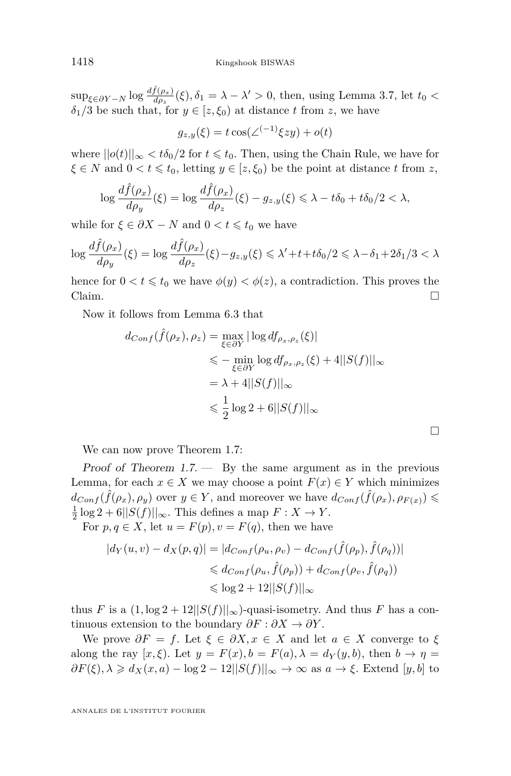$\sup_{\xi \in \partial Y - N} \log \frac{df(\rho_x)}{d\rho_x}(\xi), \delta_1 = \lambda - \lambda' > 0$ , then, using Lemma [3.7,](#page-13-0) let  $t_0 <$  $\delta_1/3$  be such that, for  $y \in [z, \xi_0)$  at distance *t* from *z*, we have

$$
g_{z,y}(\xi) = t \cos(\angle^{(-1)} \xi z y) + o(t)
$$

where  $||o(t)||_{\infty} < t\delta_0/2$  for  $t \leq t_0$ . Then, using the Chain Rule, we have for  $\xi \in N$  and  $0 < t \leq t_0$ , letting  $y \in [z, \xi_0)$  be the point at distance *t* from *z*,

$$
\log \frac{d\hat{f}(\rho_x)}{d\rho_y}(\xi) = \log \frac{d\hat{f}(\rho_x)}{d\rho_z}(\xi) - g_{z,y}(\xi) \le \lambda - t\delta_0 + t\delta_0/2 < \lambda,
$$

while for  $\xi \in \partial X - N$  and  $0 < t \leq t_0$  we have

$$
\log \frac{d\hat{f}(\rho_x)}{d\rho_y}(\xi) = \log \frac{d\hat{f}(\rho_x)}{d\rho_z}(\xi) - g_{z,y}(\xi) \le \lambda' + t + t\delta_0/2 \le \lambda - \delta_1 + 2\delta_1/3 < \lambda
$$

hence for  $0 < t \leq t_0$  we have  $\phi(y) < \phi(z)$ , a contradiction. This proves the Claim.  $\Box$ 

Now it follows from Lemma [6.3](#page-30-0) that

$$
d_{Conf}(\hat{f}(\rho_x), \rho_z) = \max_{\xi \in \partial Y} |\log d f_{\rho_x, \rho_z}(\xi)|
$$
  
\n
$$
\leq - \min_{\xi \in \partial Y} \log d f_{\rho_x, \rho_z}(\xi) + 4||S(f)||_{\infty}
$$
  
\n
$$
= \lambda + 4||S(f)||_{\infty}
$$
  
\n
$$
\leq \frac{1}{2} \log 2 + 6||S(f)||_{\infty}
$$

We can now prove Theorem [1.7:](#page-5-0)

Proof of Theorem  $1.7.$  By the same argument as in the previous Lemma, for each  $x \in X$  we may choose a point  $F(x) \in Y$  which minimizes  $d_{Conf}(\hat{f}(\rho_x), \rho_y)$  over  $y \in Y$ , and moreover we have  $d_{Conf}(\hat{f}(\rho_x), \rho_{F(x)}) \leq$  $\frac{1}{2}$  log 2 + 6|| $S(f)$ ||∞. This defines a map  $F: X \to Y$ .

For  $p, q \in X$ , let  $u = F(p), v = F(q)$ , then we have

$$
|d_Y(u, v) - d_X(p, q)| = |d_{Conf}(\rho_u, \rho_v) - d_{Conf}(\hat{f}(\rho_p), \hat{f}(\rho_q))|
$$
  

$$
\leq d_{Conf}(\rho_u, \hat{f}(\rho_p)) + d_{Conf}(\rho_v, \hat{f}(\rho_q))
$$
  

$$
\leq \log 2 + 12||S(f)||_{\infty}
$$

thus *F* is a  $(1, \log 2 + 12||S(f)||_{\infty})$ -quasi-isometry. And thus *F* has a continuous extension to the boundary  $\partial F : \partial X \to \partial Y$ .

We prove  $\partial F = f$ . Let  $\xi \in \partial X, x \in X$  and let  $a \in X$  converge to  $\xi$ along the ray  $[x, \xi]$ . Let  $y = F(x)$ ,  $b = F(a)$ ,  $\lambda = d_Y(y, b)$ , then  $b \to \eta =$  $\partial F(\xi), \lambda \geq d_X(x, a) - \log 2 - 12||S(f)||_{\infty} \to \infty$  as  $a \to \xi$ . Extend [*y, b*] to

ANNALES DE L'INSTITUT FOURIER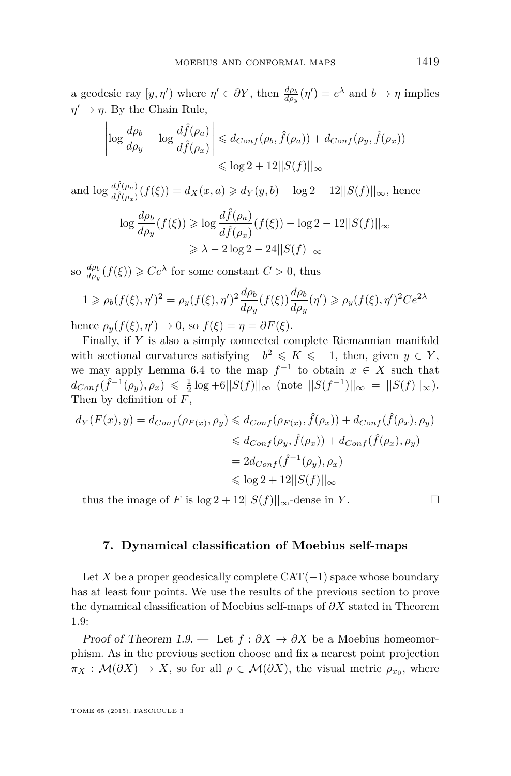a geodesic ray  $[y, \eta')$  where  $\eta' \in \partial Y$ , then  $\frac{d\rho_b}{d\rho_y}(\eta') = e^{\lambda}$  and  $b \to \eta$  implies  $\eta' \to \eta$ . By the Chain Rule,

$$
\left| \log \frac{d\rho_b}{d\rho_y} - \log \frac{d\hat{f}(\rho_a)}{d\hat{f}(\rho_x)} \right| \leq d_{Conf}(\rho_b, \hat{f}(\rho_a)) + d_{Conf}(\rho_y, \hat{f}(\rho_x))
$$
  

$$
\leq \log 2 + 12||S(f)||_{\infty}
$$

and  $\log \frac{d\hat{f}(\rho_a)}{d\hat{f}(\rho_x)}(f(\xi)) = d_X(x, a) \geq d_Y(y, b) - \log 2 - 12||S(f)||_{\infty}$ , hence

$$
\log \frac{d\rho_b}{d\rho_y}(f(\xi)) \ge \log \frac{d\hat{f}(\rho_a)}{d\hat{f}(\rho_x)}(f(\xi)) - \log 2 - 12||S(f)||_{\infty}
$$
  

$$
\ge \lambda - 2\log 2 - 24||S(f)||_{\infty}
$$

so  $\frac{d\rho_b}{d\rho_y}(f(\xi)) \geqslant Ce^{\lambda}$  for some constant  $C > 0$ , thus

$$
1 \ge \rho_b(f(\xi), \eta')^2 = \rho_y(f(\xi), \eta')^2 \frac{d\rho_b}{d\rho_y}(f(\xi)) \frac{d\rho_b}{d\rho_y}(\eta') \ge \rho_y(f(\xi), \eta')^2 C e^{2\lambda}
$$

hence  $\rho_y(f(\xi), \eta') \to 0$ , so  $f(\xi) = \eta = \partial F(\xi)$ .

Finally, if *Y* is also a simply connected complete Riemannian manifold with sectional curvatures satisfying  $-b^2 \leq K \leq -1$ , then, given  $y \in Y$ , we may apply Lemma [6.4](#page-31-0) to the map  $f^{-1}$  to obtain  $x \in X$  such that  $d_{Conf}(\hat{f}^{-1}(\rho_y), \rho_x) \leq \frac{1}{2} \log + 6||S(f)||_{\infty}$  (note  $||S(f^{-1})||_{\infty} = ||S(f)||_{\infty}$ ). Then by definition of *F*,

$$
d_Y(F(x), y) = d_{Conf}(\rho_{F(x)}, \rho_y) \leq d_{Conf}(\rho_{F(x)}, \hat{f}(\rho_x)) + d_{Conf}(\hat{f}(\rho_x), \rho_y)
$$
  

$$
\leq d_{Conf}(\rho_y, \hat{f}(\rho_x)) + d_{Conf}(\hat{f}(\rho_x), \rho_y)
$$
  

$$
= 2d_{Conf}(\hat{f}^{-1}(\rho_y), \rho_x)
$$
  

$$
\leq \log 2 + 12||S(f)||_{\infty}
$$

thus the image of *F* is  $\log 2 + 12||S(f)||_{\infty}$ -dense in *Y*.

#### **7. Dynamical classification of Moebius self-maps**

Let *X* be a proper geodesically complete  $CAT(-1)$  space whose boundary has at least four points. We use the results of the previous section to prove the dynamical classification of Moebius self-maps of *∂X* stated in Theorem [1.9:](#page-6-0)

Proof of Theorem [1.9.](#page-6-0) — Let  $f : \partial X \to \partial X$  be a Moebius homeomorphism. As in the previous section choose and fix a nearest point projection  $\pi_X$  :  $\mathcal{M}(\partial X) \to X$ , so for all  $\rho \in \mathcal{M}(\partial X)$ , the visual metric  $\rho_{x_0}$ , where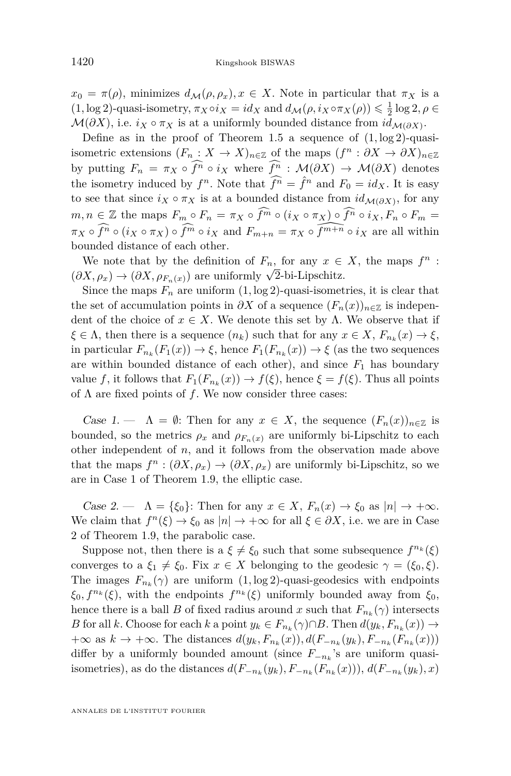$x_0 = \pi(\rho)$ , minimizes  $d_{\mathcal{M}}(\rho, \rho_x), x \in X$ . Note in particular that  $\pi_X$  is a  $(1, \log 2)$ -quasi-isometry,  $\pi_X \circ i_X = id_X$  and  $d_M(\rho, i_X \circ \pi_X(\rho)) \leq \frac{1}{2} \log 2, \rho \in$  $\mathcal{M}(\partial X)$ , i.e.  $i_X \circ \pi_X$  is at a uniformly bounded distance from  $id_{\mathcal{M}(\partial X)}$ .

Define as in the proof of Theorem [1.5](#page-4-0) a sequence of (1*,* log 2)-quasiisometric extensions  $(F_n : X \to X)_{n \in \mathbb{Z}}$  of the maps  $(f^n : \partial X \to \partial X)_{n \in \mathbb{Z}}$ by putting  $F_n = \pi_X \circ \widehat{f^n} \circ i_X$  where  $\widehat{f^n} : \mathcal{M}(\partial X) \to \mathcal{M}(\partial X)$  denotes the isometry induced by  $f^n$ . Note that  $\widehat{f^n} = \widehat{f}^n$  and  $F_0 = id_X$ . It is easy to see that since  $i_X \circ \pi_X$  is at a bounded distance from  $id_{\mathcal{M}(\partial X)}$ , for any  $m, n \in \mathbb{Z}$  the maps  $F_m \circ F_n = \pi_X \circ \widehat{f^m} \circ (i_X \circ \pi_X) \circ \widehat{f^n} \circ i_X, F_n \circ F_m =$  $\pi_X \circ \widehat{f^n} \circ (i_X \circ \pi_X) \circ \widehat{f^m} \circ i_X$  and  $F_{m+n} = \pi_X \circ \widehat{f^{m+n}} \circ i_X$  are all within bounded distance of each other.

We note that by the definition of  $F_n$ , for any  $x \in X$ , the maps  $f^n$ : ( $\partial X, \rho_x$ )  $\rightarrow (\partial X, \rho_{F_n(x)})$  are uniformly  $\sqrt{2}$ -bi-Lipschitz.

Since the maps  $F_n$  are uniform  $(1, \log 2)$ -quasi-isometries, it is clear that the set of accumulation points in  $\partial X$  of a sequence  $(F_n(x))_{n\in\mathbb{Z}}$  is independent of the choice of  $x \in X$ . We denote this set by  $\Lambda$ . We observe that if  $\xi \in \Lambda$ , then there is a sequence  $(n_k)$  such that for any  $x \in X$ ,  $F_{n_k}(x) \to \xi$ , in particular  $F_{n_k}(F_1(x)) \to \xi$ , hence  $F_1(F_{n_k}(x)) \to \xi$  (as the two sequences are within bounded distance of each other), and since  $F_1$  has boundary value *f*, it follows that  $F_1(F_{n_k}(x)) \to f(\xi)$ , hence  $\xi = f(\xi)$ . Thus all points of Λ are fixed points of *f*. We now consider three cases:

Case 1. —  $\Lambda = \emptyset$ : Then for any  $x \in X$ , the sequence  $(F_n(x))_{n \in \mathbb{Z}}$  is bounded, so the metrics  $\rho_x$  and  $\rho_{F_n}(x)$  are uniformly bi-Lipschitz to each other independent of *n*, and it follows from the observation made above that the maps  $f^n : (\partial X, \rho_x) \to (\partial X, \rho_x)$  are uniformly bi-Lipschitz, so we are in Case 1 of Theorem [1.9,](#page-6-0) the elliptic case.

Case 2. —  $\Lambda = \{\xi_0\}$ : Then for any  $x \in X$ ,  $F_n(x) \to \xi_0$  as  $|n| \to +\infty$ . We claim that  $f^{n}(\xi) \to \xi_0$  as  $|n| \to +\infty$  for all  $\xi \in \partial X$ , i.e. we are in Case 2 of Theorem [1.9,](#page-6-0) the parabolic case.

Suppose not, then there is a  $\xi \neq \xi_0$  such that some subsequence  $f^{n_k}(\xi)$ converges to a  $\xi_1 \neq \xi_0$ . Fix  $x \in X$  belonging to the geodesic  $\gamma = (\xi_0, \xi)$ . The images  $F_{n_k}(\gamma)$  are uniform  $(1, \log 2)$ -quasi-geodesics with endpoints  $\xi_0, f^{n_k}(\xi)$ , with the endpoints  $f^{n_k}(\xi)$  uniformly bounded away from  $\xi_0$ , hence there is a ball *B* of fixed radius around *x* such that  $F_{n_k}(\gamma)$  intersects *B* for all *k*. Choose for each *k* a point  $y_k \in F_{n_k}(\gamma) \cap B$ . Then  $d(y_k, F_{n_k}(x)) \to$ +∞ as  $k \to +\infty$ . The distances  $d(y_k, F_{n_k}(x))$ ,  $d(F_{-n_k}(y_k), F_{-n_k}(F_{n_k}(x)))$ differ by a uniformly bounded amount (since *F*<sup>−</sup>*n<sup>k</sup>* 's are uniform quasiisometries), as do the distances  $d(F_{-n_k}(y_k), F_{-n_k}(F_{n_k}(x)))$ ,  $d(F_{-n_k}(y_k), x)$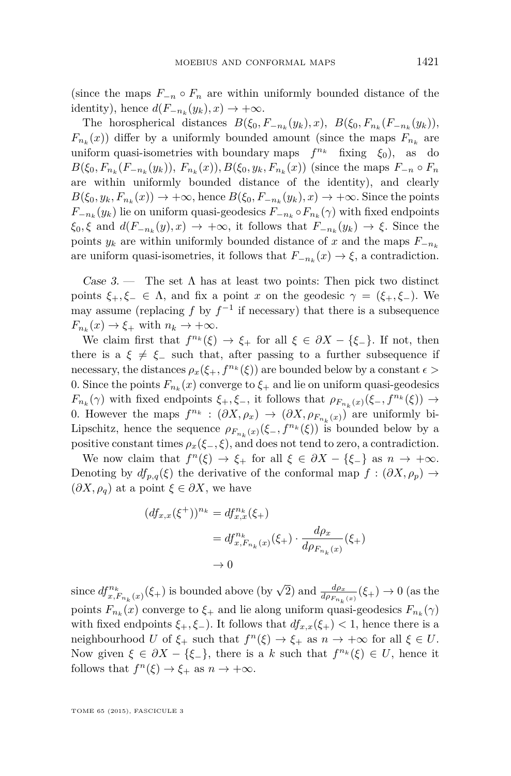(since the maps  $F_{-n} \circ F_n$  are within uniformly bounded distance of the identity), hence  $d(F_{-n_k}(y_k), x) \to +\infty$ .

The horospherical distances  $B(\xi_0, F_{-n_k}(y_k), x)$ ,  $B(\xi_0, F_{n_k}(F_{-n_k}(y_k))$ ,  $F_{n_k}(x)$ ) differ by a uniformly bounded amount (since the maps  $F_{n_k}$  are uniform quasi-isometries with boundary maps  $f^{n_k}$  fixing  $\xi_0$ , as do  $B(\xi_0, F_{n_k}(F_{-n_k}(y_k)), F_{n_k}(x)), B(\xi_0, y_k, F_{n_k}(x))$  (since the maps  $F_{-n} \circ F_n$ are within uniformly bounded distance of the identity), and clearly  $B(\xi_0, y_k, F_{n_k}(x)) \to +\infty$ , hence  $B(\xi_0, F_{-n_k}(y_k), x) \to +\infty$ . Since the points  $F_{-n_k}(y_k)$  lie on uniform quasi-geodesics  $F_{-n_k} \circ F_{n_k}(\gamma)$  with fixed endpoints  $\xi_0, \xi$  and  $d(F_{-n_k}(y), x) \to +\infty$ , it follows that  $F_{-n_k}(y_k) \to \xi$ . Since the points  $y_k$  are within uniformly bounded distance of x and the maps  $F_{-n_k}$ are uniform quasi-isometries, it follows that  $F_{-n_k}(x) \to \xi$ , a contradiction.

Case 3. — The set  $\Lambda$  has at least two points: Then pick two distinct points  $\xi_+,\xi_-\in\Lambda$ , and fix a point *x* on the geodesic  $\gamma=(\xi_+,\xi_-)$ . We may assume (replacing  $f$  by  $f^{-1}$  if necessary) that there is a subsequence  $F_{n_k}(x) \to \xi_+$  with  $n_k \to +\infty$ .

We claim first that  $f^{n_k}(\xi) \to \xi_+$  for all  $\xi \in \partial X - {\xi_-}$ . If not, then there is a  $\xi \neq \xi$  such that, after passing to a further subsequence if necessary, the distances  $\rho_x(\xi_+, f^{n_k}(\xi))$  are bounded below by a constant  $\epsilon$ 0. Since the points  $F_{n_k}(x)$  converge to  $\xi$  and lie on uniform quasi-geodesics  $F_{n_k}(\gamma)$  with fixed endpoints  $\xi_+$ ,  $\xi_-$ , it follows that  $\rho_{F_{n_k}(x)}(\xi_-, f^{n_k}(\xi)) \to$ 0. However the maps  $f^{n_k} : (\partial X, \rho_x) \to (\partial X, \rho_{F_{n_k}(x)})$  are uniformly bi-Lipschitz, hence the sequence  $\rho_{F_{n_k}(x)}(\xi_-, f^{n_k}(\xi))$  is bounded below by a positive constant times  $\rho_x(\xi_-, \xi)$ , and does not tend to zero, a contradiction.

We now claim that  $f^{n}(\xi) \to \xi_{+}$  for all  $\xi \in \partial X - {\xi_{-}}$  as  $n \to +\infty$ . Denoting by  $df_{p,q}(\xi)$  the derivative of the conformal map  $f : (\partial X, \rho_p) \to$  $(\partial X, \rho_q)$  at a point  $\xi \in \partial X$ , we have

$$
(df_{x,x}(\xi^+))^{n_k} = df_{x,x}^{n_k}(\xi_+)
$$
  
=  $df_{x,F_{n_k}(x)}^{n_k}(\xi_+) \cdot \frac{d\rho_x}{d\rho_{F_{n_k}(x)}}(\xi_+)$   
 $\to 0$ 

since  $df_{x,F_{n_k}(x)}^{n_k}(\xi_+)$  is bounded above (by  $\sqrt{2}$ ) and  $\frac{d\rho_x}{d\rho_{F_{n_k}(x)}}(\xi_+) \to 0$  (as the points  $F_{n_k}(x)$  converge to  $\xi_+$  and lie along uniform quasi-geodesics  $F_{n_k}(\gamma)$ with fixed endpoints  $\xi_+$ ,  $\xi_-$ ). It follows that  $df_{x,x}(\xi_+) < 1$ , hence there is a neighbourhood *U* of  $\xi$ <sup>+</sup> such that  $f^n(\xi) \to \xi$ <sup>+</sup> as  $n \to +\infty$  for all  $\xi \in U$ . Now given  $\xi \in \partial X - \{\xi_{-}\}\$ , there is a *k* such that  $f^{n_k}(\xi) \in U$ , hence it follows that  $f^{n}(\xi) \to \xi_{+}$  as  $n \to +\infty$ .